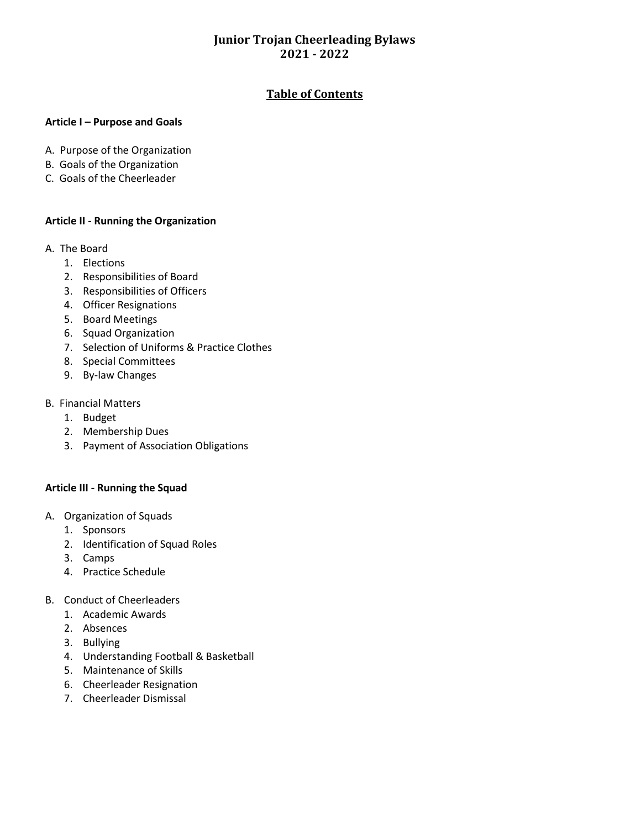### **Table of Contents**

#### **Article I – Purpose and Goals**

- A. Purpose of the Organization
- B. Goals of the Organization
- C. Goals of the Cheerleader

#### **Article II - Running the Organization**

- A. The Board
	- 1. Elections
	- 2. Responsibilities of Board
	- 3. Responsibilities of Officers
	- 4. Officer Resignations
	- 5. Board Meetings
	- 6. Squad Organization
	- 7. Selection of Uniforms & Practice Clothes
	- 8. Special Committees
	- 9. By-law Changes
- B. Financial Matters
	- 1. Budget
	- 2. Membership Dues
	- 3. Payment of Association Obligations

### **Article III - Running the Squad**

- A. Organization of Squads
	- 1. Sponsors
	- 2. Identification of Squad Roles
	- 3. Camps
	- 4. Practice Schedule
- B. Conduct of Cheerleaders
	- 1. Academic Awards
	- 2. Absences
	- 3. Bullying
	- 4. Understanding Football & Basketball
	- 5. Maintenance of Skills
	- 6. Cheerleader Resignation
	- 7. Cheerleader Dismissal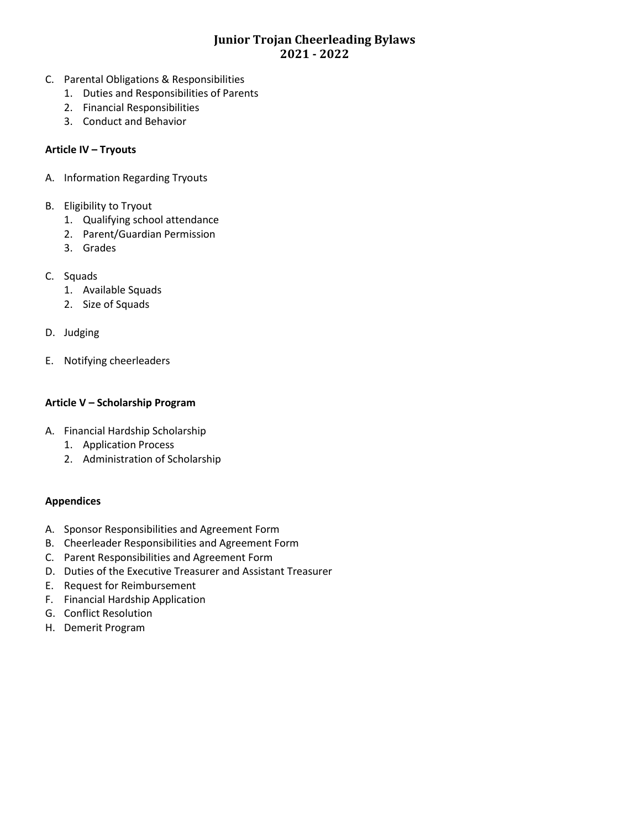- C. Parental Obligations & Responsibilities
	- 1. Duties and Responsibilities of Parents
	- 2. Financial Responsibilities
	- 3. Conduct and Behavior

### **Article IV – Tryouts**

- A. Information Regarding Tryouts
- B. Eligibility to Tryout
	- 1. Qualifying school attendance
	- 2. Parent/Guardian Permission
	- 3. Grades
- C. Squads
	- 1. Available Squads
	- 2. Size of Squads
- D. Judging
- E. Notifying cheerleaders

### **Article V – Scholarship Program**

- A. Financial Hardship Scholarship
	- 1. Application Process
	- 2. Administration of Scholarship

#### **Appendices**

- A. Sponsor Responsibilities and Agreement Form
- B. Cheerleader Responsibilities and Agreement Form
- C. Parent Responsibilities and Agreement Form
- D. Duties of the Executive Treasurer and Assistant Treasurer
- E. Request for Reimbursement
- F. Financial Hardship Application
- G. Conflict Resolution
- H. Demerit Program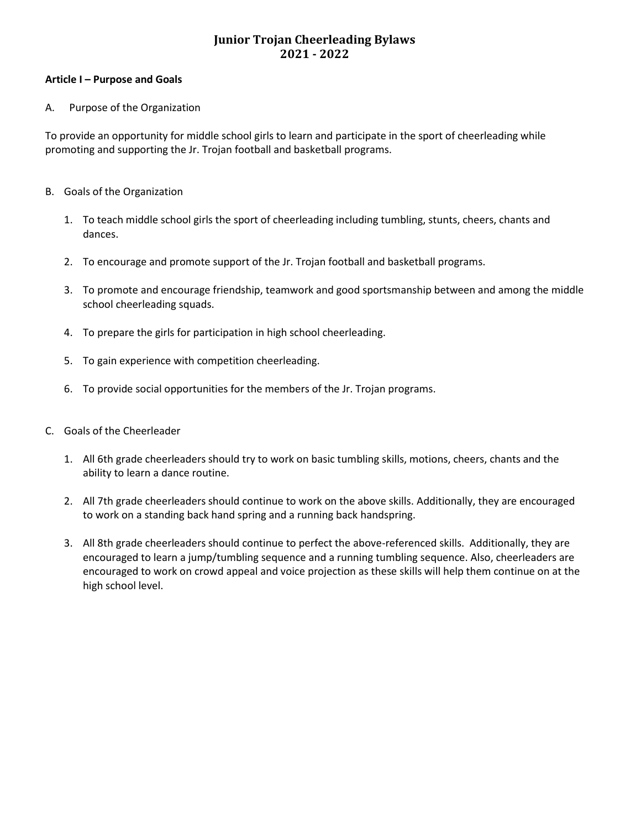#### **Article I – Purpose and Goals**

#### A. Purpose of the Organization

To provide an opportunity for middle school girls to learn and participate in the sport of cheerleading while promoting and supporting the Jr. Trojan football and basketball programs.

- B. Goals of the Organization
	- 1. To teach middle school girls the sport of cheerleading including tumbling, stunts, cheers, chants and dances.
	- 2. To encourage and promote support of the Jr. Trojan football and basketball programs.
	- 3. To promote and encourage friendship, teamwork and good sportsmanship between and among the middle school cheerleading squads.
	- 4. To prepare the girls for participation in high school cheerleading.
	- 5. To gain experience with competition cheerleading.
	- 6. To provide social opportunities for the members of the Jr. Trojan programs.
- C. Goals of the Cheerleader
	- 1. All 6th grade cheerleaders should try to work on basic tumbling skills, motions, cheers, chants and the ability to learn a dance routine.
	- 2. All 7th grade cheerleaders should continue to work on the above skills. Additionally, they are encouraged to work on a standing back hand spring and a running back handspring.
	- 3. All 8th grade cheerleaders should continue to perfect the above-referenced skills. Additionally, they are encouraged to learn a jump/tumbling sequence and a running tumbling sequence. Also, cheerleaders are encouraged to work on crowd appeal and voice projection as these skills will help them continue on at the high school level.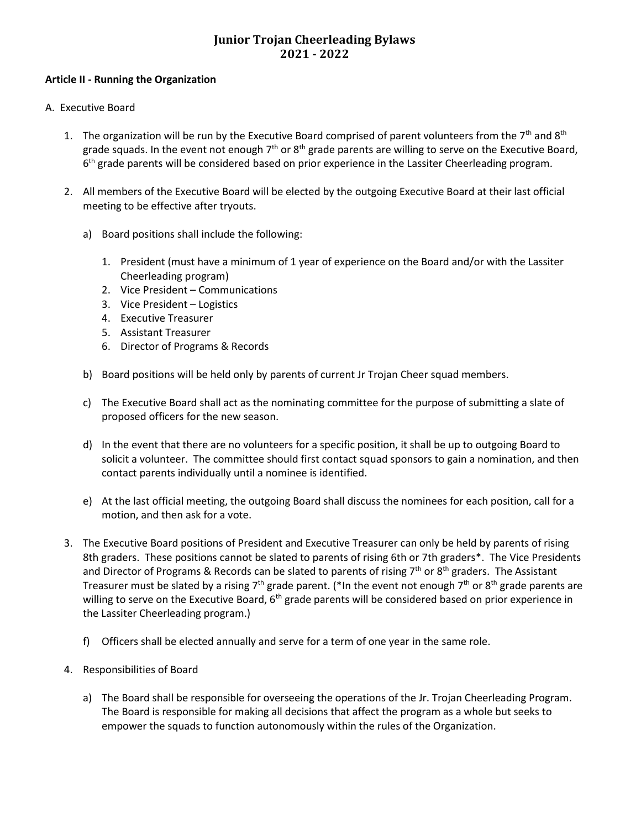#### **Article II - Running the Organization**

- A. Executive Board
	- 1. The organization will be run by the Executive Board comprised of parent volunteers from the  $7<sup>th</sup>$  and  $8<sup>th</sup>$ grade squads. In the event not enough 7<sup>th</sup> or 8<sup>th</sup> grade parents are willing to serve on the Executive Board, 6<sup>th</sup> grade parents will be considered based on prior experience in the Lassiter Cheerleading program.
	- 2. All members of the Executive Board will be elected by the outgoing Executive Board at their last official meeting to be effective after tryouts.
		- a) Board positions shall include the following:
			- 1. President (must have a minimum of 1 year of experience on the Board and/or with the Lassiter Cheerleading program)
			- 2. Vice President Communications
			- 3. Vice President Logistics
			- 4. Executive Treasurer
			- 5. Assistant Treasurer
			- 6. Director of Programs & Records
		- b) Board positions will be held only by parents of current Jr Trojan Cheer squad members.
		- c) The Executive Board shall act as the nominating committee for the purpose of submitting a slate of proposed officers for the new season.
		- d) In the event that there are no volunteers for a specific position, it shall be up to outgoing Board to solicit a volunteer. The committee should first contact squad sponsors to gain a nomination, and then contact parents individually until a nominee is identified.
		- e) At the last official meeting, the outgoing Board shall discuss the nominees for each position, call for a motion, and then ask for a vote.
	- 3. The Executive Board positions of President and Executive Treasurer can only be held by parents of rising 8th graders. These positions cannot be slated to parents of rising 6th or 7th graders\*. The Vice Presidents and Director of Programs & Records can be slated to parents of rising  $7<sup>th</sup>$  or  $8<sup>th</sup>$  graders. The Assistant Treasurer must be slated by a rising 7<sup>th</sup> grade parent. (\*In the event not enough 7<sup>th</sup> or 8<sup>th</sup> grade parents are willing to serve on the Executive Board, 6<sup>th</sup> grade parents will be considered based on prior experience in the Lassiter Cheerleading program.)
		- f) Officers shall be elected annually and serve for a term of one year in the same role.
	- 4. Responsibilities of Board
		- a) The Board shall be responsible for overseeing the operations of the Jr. Trojan Cheerleading Program. The Board is responsible for making all decisions that affect the program as a whole but seeks to empower the squads to function autonomously within the rules of the Organization.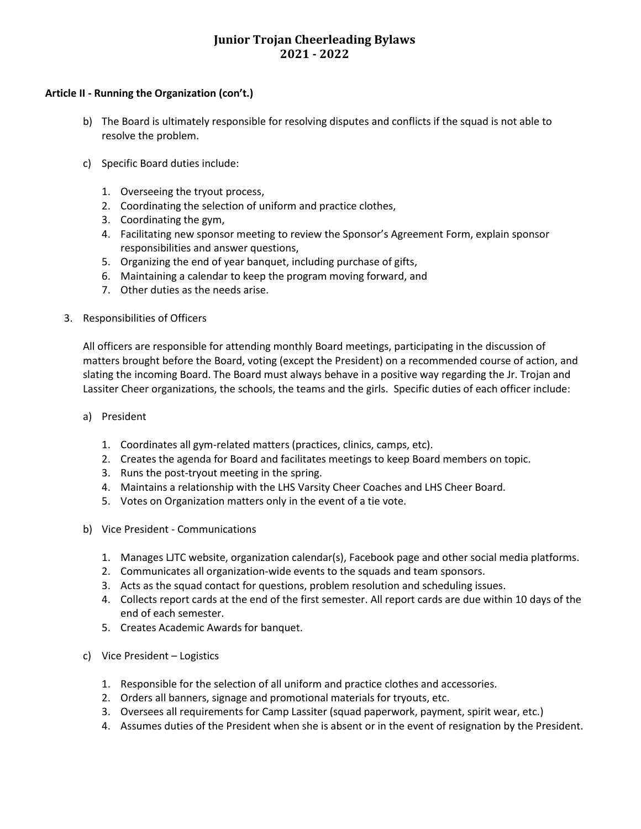#### **Article II - Running the Organization (con't.)**

- b) The Board is ultimately responsible for resolving disputes and conflicts if the squad is not able to resolve the problem.
- c) Specific Board duties include:
	- 1. Overseeing the tryout process,
	- 2. Coordinating the selection of uniform and practice clothes,
	- 3. Coordinating the gym,
	- 4. Facilitating new sponsor meeting to review the Sponsor's Agreement Form, explain sponsor responsibilities and answer questions,
	- 5. Organizing the end of year banquet, including purchase of gifts,
	- 6. Maintaining a calendar to keep the program moving forward, and
	- 7. Other duties as the needs arise.
- 3. Responsibilities of Officers

All officers are responsible for attending monthly Board meetings, participating in the discussion of matters brought before the Board, voting (except the President) on a recommended course of action, and slating the incoming Board. The Board must always behave in a positive way regarding the Jr. Trojan and Lassiter Cheer organizations, the schools, the teams and the girls. Specific duties of each officer include:

- a) President
	- 1. Coordinates all gym-related matters (practices, clinics, camps, etc).
	- 2. Creates the agenda for Board and facilitates meetings to keep Board members on topic.
	- 3. Runs the post-tryout meeting in the spring.
	- 4. Maintains a relationship with the LHS Varsity Cheer Coaches and LHS Cheer Board.
	- 5. Votes on Organization matters only in the event of a tie vote.
- b) Vice President Communications
	- 1. Manages LJTC website, organization calendar(s), Facebook page and other social media platforms.
	- 2. Communicates all organization-wide events to the squads and team sponsors.
	- 3. Acts as the squad contact for questions, problem resolution and scheduling issues.
	- 4. Collects report cards at the end of the first semester. All report cards are due within 10 days of the end of each semester.
	- 5. Creates Academic Awards for banquet.
- c) Vice President Logistics
	- 1. Responsible for the selection of all uniform and practice clothes and accessories.
	- 2. Orders all banners, signage and promotional materials for tryouts, etc.
	- 3. Oversees all requirements for Camp Lassiter (squad paperwork, payment, spirit wear, etc.)
	- 4. Assumes duties of the President when she is absent or in the event of resignation by the President.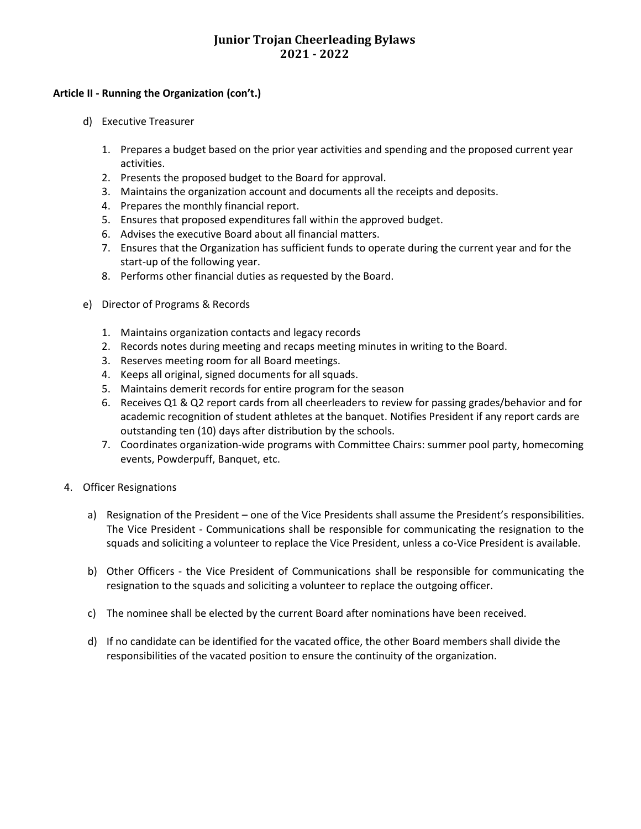#### **Article II - Running the Organization (con't.)**

- d) Executive Treasurer
	- 1. Prepares a budget based on the prior year activities and spending and the proposed current year activities.
	- 2. Presents the proposed budget to the Board for approval.
	- 3. Maintains the organization account and documents all the receipts and deposits.
	- 4. Prepares the monthly financial report.
	- 5. Ensures that proposed expenditures fall within the approved budget.
	- 6. Advises the executive Board about all financial matters.
	- 7. Ensures that the Organization has sufficient funds to operate during the current year and for the start-up of the following year.
	- 8. Performs other financial duties as requested by the Board.
- e) Director of Programs & Records
	- 1. Maintains organization contacts and legacy records
	- 2. Records notes during meeting and recaps meeting minutes in writing to the Board.
	- 3. Reserves meeting room for all Board meetings.
	- 4. Keeps all original, signed documents for all squads.
	- 5. Maintains demerit records for entire program for the season
	- 6. Receives Q1 & Q2 report cards from all cheerleaders to review for passing grades/behavior and for academic recognition of student athletes at the banquet. Notifies President if any report cards are outstanding ten (10) days after distribution by the schools.
	- 7. Coordinates organization-wide programs with Committee Chairs: summer pool party, homecoming events, Powderpuff, Banquet, etc.
- 4. Officer Resignations
	- a) Resignation of the President one of the Vice Presidents shall assume the President's responsibilities. The Vice President - Communications shall be responsible for communicating the resignation to the squads and soliciting a volunteer to replace the Vice President, unless a co-Vice President is available.
	- b) Other Officers the Vice President of Communications shall be responsible for communicating the resignation to the squads and soliciting a volunteer to replace the outgoing officer.
	- c) The nominee shall be elected by the current Board after nominations have been received.
	- d) If no candidate can be identified for the vacated office, the other Board members shall divide the responsibilities of the vacated position to ensure the continuity of the organization.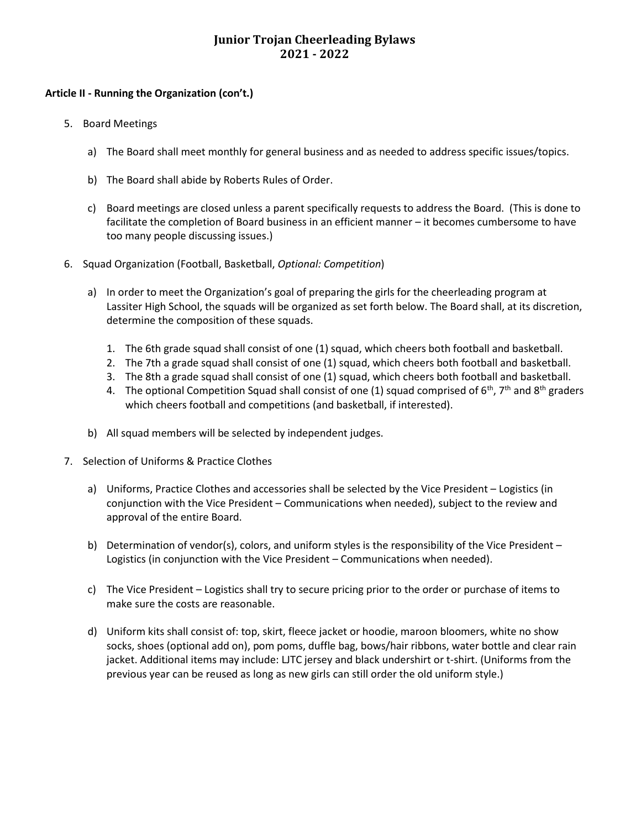#### **Article II - Running the Organization (con't.)**

- 5. Board Meetings
	- a) The Board shall meet monthly for general business and as needed to address specific issues/topics.
	- b) The Board shall abide by Roberts Rules of Order.
	- c) Board meetings are closed unless a parent specifically requests to address the Board. (This is done to facilitate the completion of Board business in an efficient manner – it becomes cumbersome to have too many people discussing issues.)
- 6. Squad Organization (Football, Basketball, *Optional: Competition*)
	- a) In order to meet the Organization's goal of preparing the girls for the cheerleading program at Lassiter High School, the squads will be organized as set forth below. The Board shall, at its discretion, determine the composition of these squads.
		- 1. The 6th grade squad shall consist of one (1) squad, which cheers both football and basketball.
		- 2. The 7th a grade squad shall consist of one (1) squad, which cheers both football and basketball.
		- 3. The 8th a grade squad shall consist of one (1) squad, which cheers both football and basketball.
		- 4. The optional Competition Squad shall consist of one (1) squad comprised of  $6<sup>th</sup>$ , 7<sup>th</sup> and  $8<sup>th</sup>$  graders which cheers football and competitions (and basketball, if interested).
	- b) All squad members will be selected by independent judges.
- 7. Selection of Uniforms & Practice Clothes
	- a) Uniforms, Practice Clothes and accessories shall be selected by the Vice President Logistics (in conjunction with the Vice President – Communications when needed), subject to the review and approval of the entire Board.
	- b) Determination of vendor(s), colors, and uniform styles is the responsibility of the Vice President Logistics (in conjunction with the Vice President – Communications when needed).
	- c) The Vice President Logistics shall try to secure pricing prior to the order or purchase of items to make sure the costs are reasonable.
	- d) Uniform kits shall consist of: top, skirt, fleece jacket or hoodie, maroon bloomers, white no show socks, shoes (optional add on), pom poms, duffle bag, bows/hair ribbons, water bottle and clear rain jacket. Additional items may include: LJTC jersey and black undershirt or t-shirt. (Uniforms from the previous year can be reused as long as new girls can still order the old uniform style.)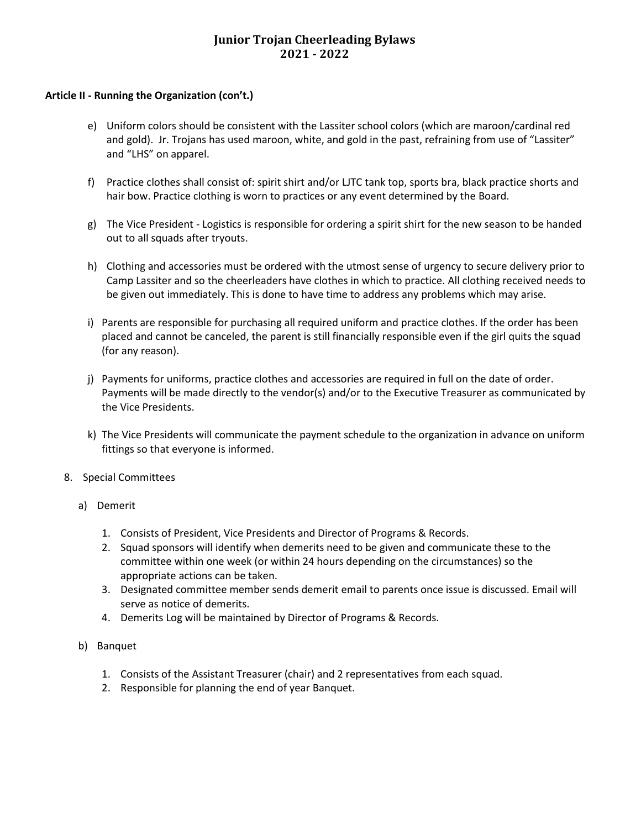#### **Article II - Running the Organization (con't.)**

- e) Uniform colors should be consistent with the Lassiter school colors (which are maroon/cardinal red and gold). Jr. Trojans has used maroon, white, and gold in the past, refraining from use of "Lassiter" and "LHS" on apparel.
- f) Practice clothes shall consist of: spirit shirt and/or LJTC tank top, sports bra, black practice shorts and hair bow. Practice clothing is worn to practices or any event determined by the Board.
- g) The Vice President Logistics is responsible for ordering a spirit shirt for the new season to be handed out to all squads after tryouts.
- h) Clothing and accessories must be ordered with the utmost sense of urgency to secure delivery prior to Camp Lassiter and so the cheerleaders have clothes in which to practice. All clothing received needs to be given out immediately. This is done to have time to address any problems which may arise.
- i) Parents are responsible for purchasing all required uniform and practice clothes. If the order has been placed and cannot be canceled, the parent is still financially responsible even if the girl quits the squad (for any reason).
- j) Payments for uniforms, practice clothes and accessories are required in full on the date of order. Payments will be made directly to the vendor(s) and/or to the Executive Treasurer as communicated by the Vice Presidents.
- k) The Vice Presidents will communicate the payment schedule to the organization in advance on uniform fittings so that everyone is informed.
- 8. Special Committees
	- a) Demerit
		- 1. Consists of President, Vice Presidents and Director of Programs & Records.
		- 2. Squad sponsors will identify when demerits need to be given and communicate these to the committee within one week (or within 24 hours depending on the circumstances) so the appropriate actions can be taken.
		- 3. Designated committee member sends demerit email to parents once issue is discussed. Email will serve as notice of demerits.
		- 4. Demerits Log will be maintained by Director of Programs & Records.
	- b) Banquet
		- 1. Consists of the Assistant Treasurer (chair) and 2 representatives from each squad.
		- 2. Responsible for planning the end of year Banquet.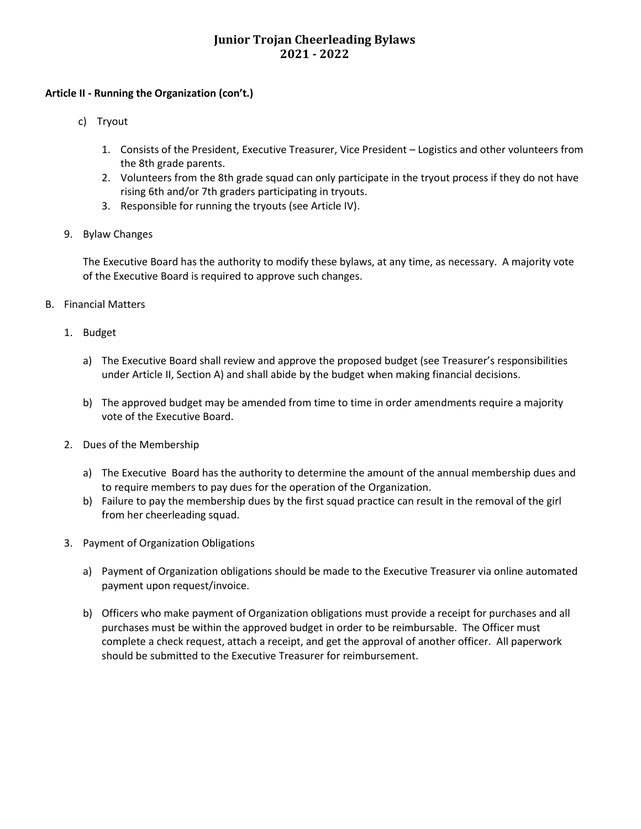#### **Article II - Running the Organization (con't.)**

- c) Tryout
	- 1. Consists of the President, Executive Treasurer, Vice President Logistics and other volunteers from the 8th grade parents.
	- 2. Volunteers from the 8th grade squad can only participate in the tryout process if they do not have rising 6th and/or 7th graders participating in tryouts.
	- 3. Responsible for running the tryouts (see Article IV).
- 9. Bylaw Changes

The Executive Board has the authority to modify these bylaws, at any time, as necessary. A majority vote of the Executive Board is required to approve such changes.

- B. Financial Matters
	- 1. Budget
		- a) The Executive Board shall review and approve the proposed budget (see Treasurer's responsibilities under Article II, Section A) and shall abide by the budget when making financial decisions.
		- b) The approved budget may be amended from time to time in order amendments require a majority vote of the Executive Board.
	- 2. Dues of the Membership
		- a) The Executive Board has the authority to determine the amount of the annual membership dues and to require members to pay dues for the operation of the Organization.
		- b) Failure to pay the membership dues by the first squad practice can result in the removal of the girl from her cheerleading squad.
	- 3. Payment of Organization Obligations
		- a) Payment of Organization obligations should be made to the Executive Treasurer via online automated payment upon request/invoice.
		- b) Officers who make payment of Organization obligations must provide a receipt for purchases and all purchases must be within the approved budget in order to be reimbursable. The Officer must complete a check request, attach a receipt, and get the approval of another officer. All paperwork should be submitted to the Executive Treasurer for reimbursement.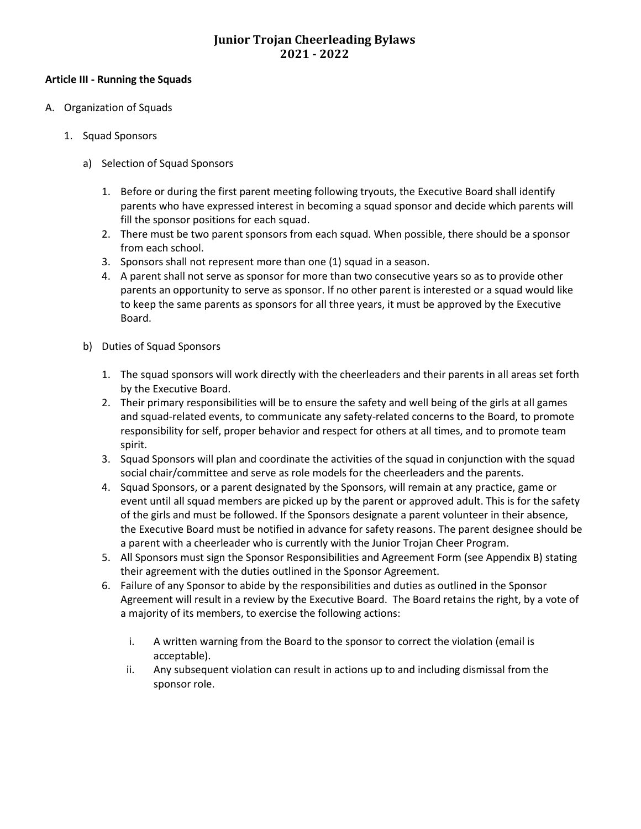#### **Article III - Running the Squads**

- A. Organization of Squads
	- 1. Squad Sponsors
		- a) Selection of Squad Sponsors
			- 1. Before or during the first parent meeting following tryouts, the Executive Board shall identify parents who have expressed interest in becoming a squad sponsor and decide which parents will fill the sponsor positions for each squad.
			- 2. There must be two parent sponsors from each squad. When possible, there should be a sponsor from each school.
			- 3. Sponsors shall not represent more than one (1) squad in a season.
			- 4. A parent shall not serve as sponsor for more than two consecutive years so as to provide other parents an opportunity to serve as sponsor. If no other parent is interested or a squad would like to keep the same parents as sponsors for all three years, it must be approved by the Executive Board.
		- b) Duties of Squad Sponsors
			- 1. The squad sponsors will work directly with the cheerleaders and their parents in all areas set forth by the Executive Board.
			- 2. Their primary responsibilities will be to ensure the safety and well being of the girls at all games and squad-related events, to communicate any safety-related concerns to the Board, to promote responsibility for self, proper behavior and respect for others at all times, and to promote team spirit.
			- 3. Squad Sponsors will plan and coordinate the activities of the squad in conjunction with the squad social chair/committee and serve as role models for the cheerleaders and the parents.
			- 4. Squad Sponsors, or a parent designated by the Sponsors, will remain at any practice, game or event until all squad members are picked up by the parent or approved adult. This is for the safety of the girls and must be followed. If the Sponsors designate a parent volunteer in their absence, the Executive Board must be notified in advance for safety reasons. The parent designee should be a parent with a cheerleader who is currently with the Junior Trojan Cheer Program.
			- 5. All Sponsors must sign the Sponsor Responsibilities and Agreement Form (see Appendix B) stating their agreement with the duties outlined in the Sponsor Agreement.
			- 6. Failure of any Sponsor to abide by the responsibilities and duties as outlined in the Sponsor Agreement will result in a review by the Executive Board. The Board retains the right, by a vote of a majority of its members, to exercise the following actions:
				- i. A written warning from the Board to the sponsor to correct the violation (email is acceptable).
				- ii. Any subsequent violation can result in actions up to and including dismissal from the sponsor role.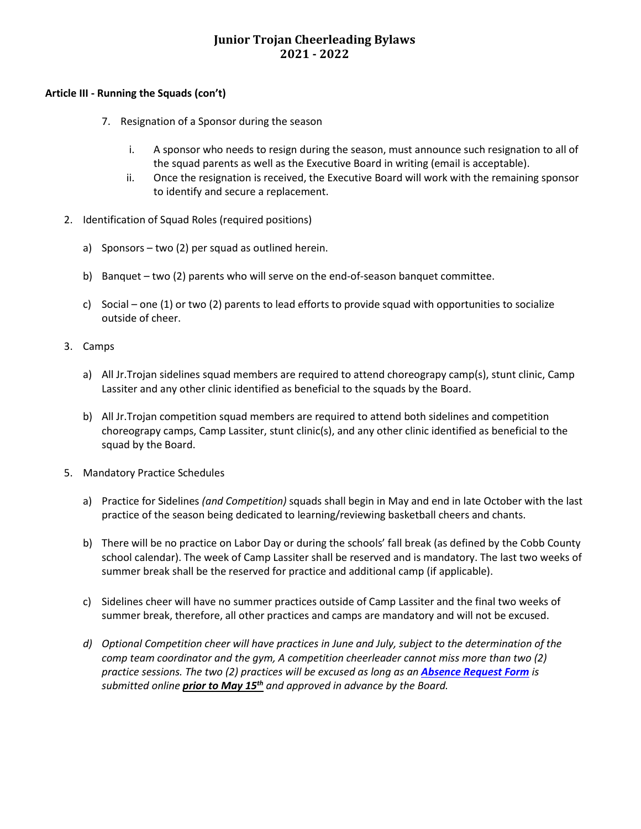#### **Article III - Running the Squads (con't)**

- 7. Resignation of a Sponsor during the season
	- i. A sponsor who needs to resign during the season, must announce such resignation to all of the squad parents as well as the Executive Board in writing (email is acceptable).
	- ii. Once the resignation is received, the Executive Board will work with the remaining sponsor to identify and secure a replacement.
- 2. Identification of Squad Roles (required positions)
	- a) Sponsors two (2) per squad as outlined herein.
	- b) Banquet two (2) parents who will serve on the end-of-season banquet committee.
	- c) Social one (1) or two (2) parents to lead efforts to provide squad with opportunities to socialize outside of cheer.

#### 3. Camps

- a) All Jr.Trojan sidelines squad members are required to attend choreograpy camp(s), stunt clinic, Camp Lassiter and any other clinic identified as beneficial to the squads by the Board.
- b) All Jr.Trojan competition squad members are required to attend both sidelines and competition choreograpy camps, Camp Lassiter, stunt clinic(s), and any other clinic identified as beneficial to the squad by the Board.
- 5. Mandatory Practice Schedules
	- a) Practice for Sidelines *(and Competition)* squads shall begin in May and end in late October with the last practice of the season being dedicated to learning/reviewing basketball cheers and chants.
	- b) There will be no practice on Labor Day or during the schools' fall break (as defined by the Cobb County school calendar). The week of Camp Lassiter shall be reserved and is mandatory. The last two weeks of summer break shall be the reserved for practice and additional camp (if applicable).
	- c) Sidelines cheer will have no summer practices outside of Camp Lassiter and the final two weeks of summer break, therefore, all other practices and camps are mandatory and will not be excused.
	- *d) Optional Competition cheer will have practices in June and July, subject to the determination of the comp team coordinator and the gym, A competition cheerleader cannot miss more than two (2) practice sessions. The two (2) practices will be excused as long as an [Absence Request Form](https://www.lassiterjrtrojancheer.com/forms) is submitted online prior to May 15th and approved in advance by the Board.*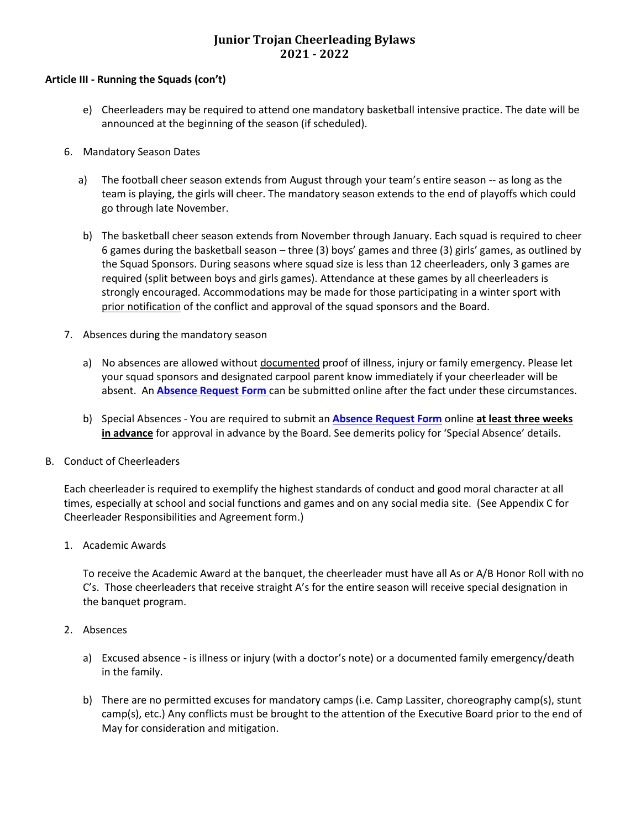#### **Article III - Running the Squads (con't)**

- e) Cheerleaders may be required to attend one mandatory basketball intensive practice. The date will be announced at the beginning of the season (if scheduled).
- 6. Mandatory Season Dates
	- a) The football cheer season extends from August through your team's entire season -- as long as the team is playing, the girls will cheer. The mandatory season extends to the end of playoffs which could go through late November.
	- b) The basketball cheer season extends from November through January. Each squad is required to cheer 6 games during the basketball season – three (3) boys' games and three (3) girls' games, as outlined by the Squad Sponsors. During seasons where squad size is less than 12 cheerleaders, only 3 games are required (split between boys and girls games). Attendance at these games by all cheerleaders is strongly encouraged. Accommodations may be made for those participating in a winter sport with prior notification of the conflict and approval of the squad sponsors and the Board.
- 7. Absences during the mandatory season
	- a) No absences are allowed without documented proof of illness, injury or family emergency. Please let your squad sponsors and designated carpool parent know immediately if your cheerleader will be absent. An **[Absence Request Form](https://www.lassiterjrtrojancheer.com/forms)** can be submitted online after the fact under these circumstances.
	- b) Special Absences You are required to submit an **[Absence Request Form](https://www.lassiterjrtrojancheer.com/forms)** online **at least three weeks in advance** for approval in advance by the Board. See demerits policy for 'Special Absence' details.
- B. Conduct of Cheerleaders

Each cheerleader is required to exemplify the highest standards of conduct and good moral character at all times, especially at school and social functions and games and on any social media site. (See Appendix C for Cheerleader Responsibilities and Agreement form.)

1. Academic Awards

To receive the Academic Award at the banquet, the cheerleader must have all As or A/B Honor Roll with no C's. Those cheerleaders that receive straight A's for the entire season will receive special designation in the banquet program.

- 2. Absences
	- a) Excused absence is illness or injury (with a doctor's note) or a documented family emergency/death in the family.
	- b) There are no permitted excuses for mandatory camps (i.e. Camp Lassiter, choreography camp(s), stunt camp(s), etc.) Any conflicts must be brought to the attention of the Executive Board prior to the end of May for consideration and mitigation.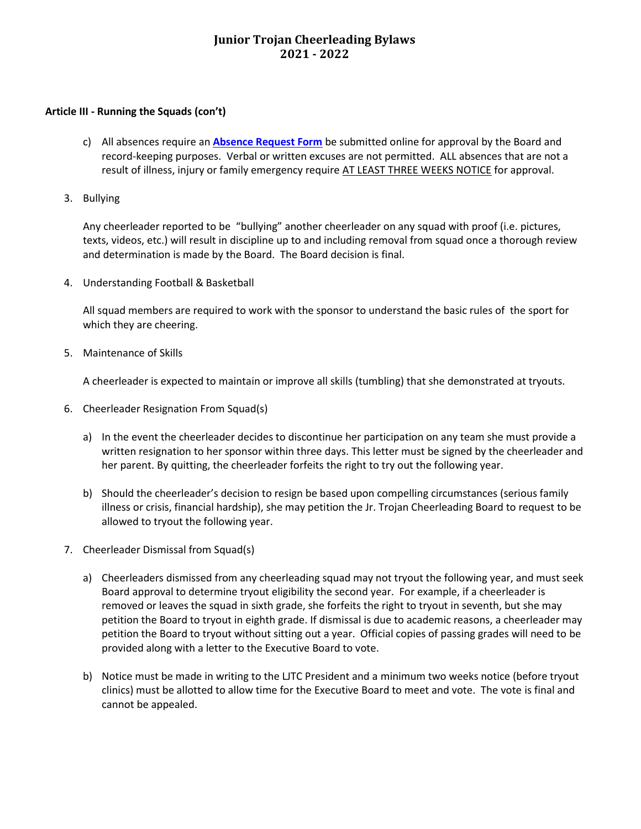#### **Article III - Running the Squads (con't)**

- c) All absences require an **[Absence Request Form](https://www.lassiterjrtrojancheer.com/forms)** be submitted online for approval by the Board and record-keeping purposes. Verbal or written excuses are not permitted. ALL absences that are not a result of illness, injury or family emergency require AT LEAST THREE WEEKS NOTICE for approval.
- 3. Bullying

Any cheerleader reported to be "bullying" another cheerleader on any squad with proof (i.e. pictures, texts, videos, etc.) will result in discipline up to and including removal from squad once a thorough review and determination is made by the Board. The Board decision is final.

4. Understanding Football & Basketball

All squad members are required to work with the sponsor to understand the basic rules of the sport for which they are cheering.

5. Maintenance of Skills

A cheerleader is expected to maintain or improve all skills (tumbling) that she demonstrated at tryouts.

- 6. Cheerleader Resignation From Squad(s)
	- a) In the event the cheerleader decides to discontinue her participation on any team she must provide a written resignation to her sponsor within three days. This letter must be signed by the cheerleader and her parent. By quitting, the cheerleader forfeits the right to try out the following year.
	- b) Should the cheerleader's decision to resign be based upon compelling circumstances (serious family illness or crisis, financial hardship), she may petition the Jr. Trojan Cheerleading Board to request to be allowed to tryout the following year.
- 7. Cheerleader Dismissal from Squad(s)
	- a) Cheerleaders dismissed from any cheerleading squad may not tryout the following year, and must seek Board approval to determine tryout eligibility the second year. For example, if a cheerleader is removed or leaves the squad in sixth grade, she forfeits the right to tryout in seventh, but she may petition the Board to tryout in eighth grade. If dismissal is due to academic reasons, a cheerleader may petition the Board to tryout without sitting out a year. Official copies of passing grades will need to be provided along with a letter to the Executive Board to vote.
	- b) Notice must be made in writing to the LJTC President and a minimum two weeks notice (before tryout clinics) must be allotted to allow time for the Executive Board to meet and vote. The vote is final and cannot be appealed.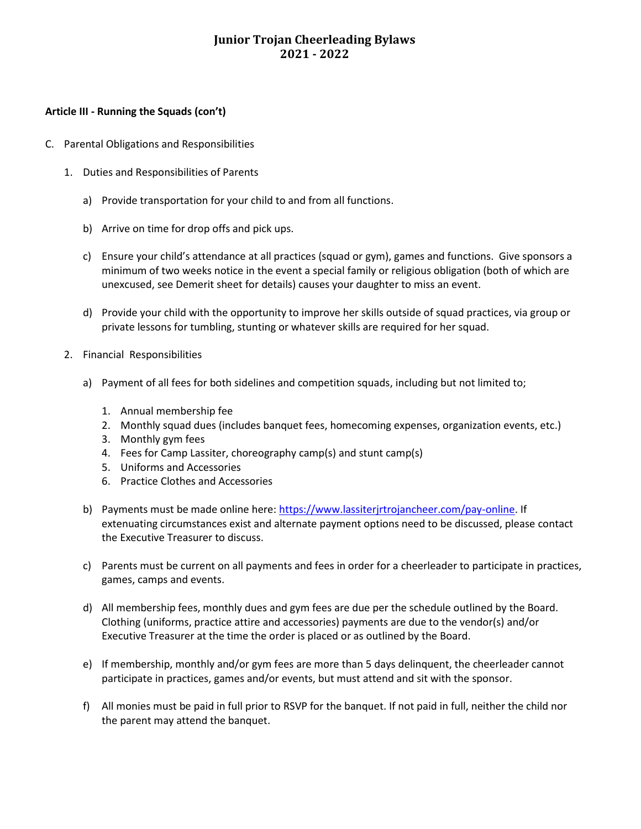#### **Article III - Running the Squads (con't)**

- C. Parental Obligations and Responsibilities
	- 1. Duties and Responsibilities of Parents
		- a) Provide transportation for your child to and from all functions.
		- b) Arrive on time for drop offs and pick ups.
		- c) Ensure your child's attendance at all practices (squad or gym), games and functions. Give sponsors a minimum of two weeks notice in the event a special family or religious obligation (both of which are unexcused, see Demerit sheet for details) causes your daughter to miss an event.
		- d) Provide your child with the opportunity to improve her skills outside of squad practices, via group or private lessons for tumbling, stunting or whatever skills are required for her squad.
	- 2. Financial Responsibilities
		- a) Payment of all fees for both sidelines and competition squads, including but not limited to;
			- 1. Annual membership fee
			- 2. Monthly squad dues (includes banquet fees, homecoming expenses, organization events, etc.)
			- 3. Monthly gym fees
			- 4. Fees for Camp Lassiter, choreography camp(s) and stunt camp(s)
			- 5. Uniforms and Accessories
			- 6. Practice Clothes and Accessories
		- b) Payments must be made online here[: https://www.lassiterjrtrojancheer.com/pay-online.](https://www.lassiterjrtrojancheer.com/pay-online) If extenuating circumstances exist and alternate payment options need to be discussed, please contact the Executive Treasurer to discuss.
		- c) Parents must be current on all payments and fees in order for a cheerleader to participate in practices, games, camps and events.
		- d) All membership fees, monthly dues and gym fees are due per the schedule outlined by the Board. Clothing (uniforms, practice attire and accessories) payments are due to the vendor(s) and/or Executive Treasurer at the time the order is placed or as outlined by the Board.
		- e) If membership, monthly and/or gym fees are more than 5 days delinquent, the cheerleader cannot participate in practices, games and/or events, but must attend and sit with the sponsor.
		- f) All monies must be paid in full prior to RSVP for the banquet. If not paid in full, neither the child nor the parent may attend the banquet.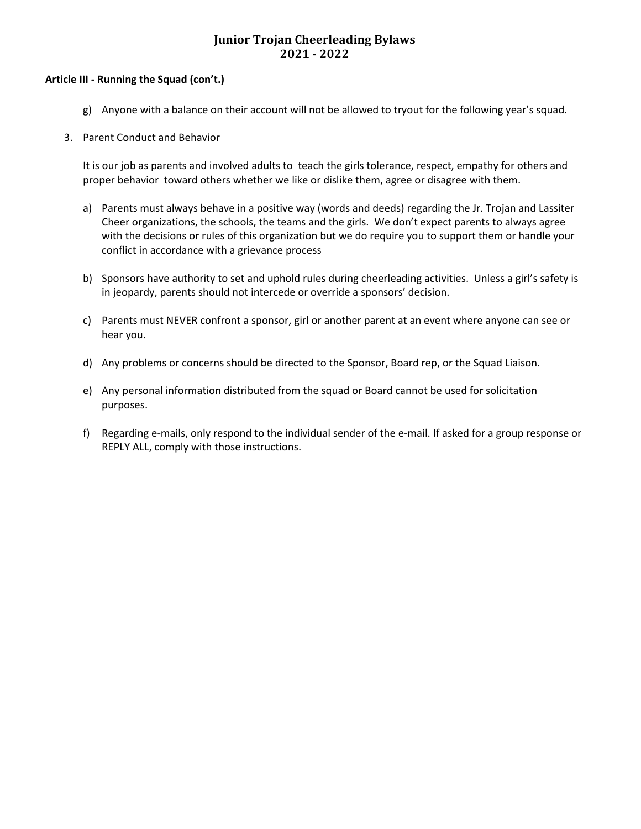#### **Article III - Running the Squad (con't.)**

- g) Anyone with a balance on their account will not be allowed to tryout for the following year's squad.
- 3. Parent Conduct and Behavior

It is our job as parents and involved adults to teach the girls tolerance, respect, empathy for others and proper behavior toward others whether we like or dislike them, agree or disagree with them.

- a) Parents must always behave in a positive way (words and deeds) regarding the Jr. Trojan and Lassiter Cheer organizations, the schools, the teams and the girls. We don't expect parents to always agree with the decisions or rules of this organization but we do require you to support them or handle your conflict in accordance with a grievance process
- b) Sponsors have authority to set and uphold rules during cheerleading activities. Unless a girl's safety is in jeopardy, parents should not intercede or override a sponsors' decision.
- c) Parents must NEVER confront a sponsor, girl or another parent at an event where anyone can see or hear you.
- d) Any problems or concerns should be directed to the Sponsor, Board rep, or the Squad Liaison.
- e) Any personal information distributed from the squad or Board cannot be used for solicitation purposes.
- f) Regarding e-mails, only respond to the individual sender of the e-mail. If asked for a group response or REPLY ALL, comply with those instructions.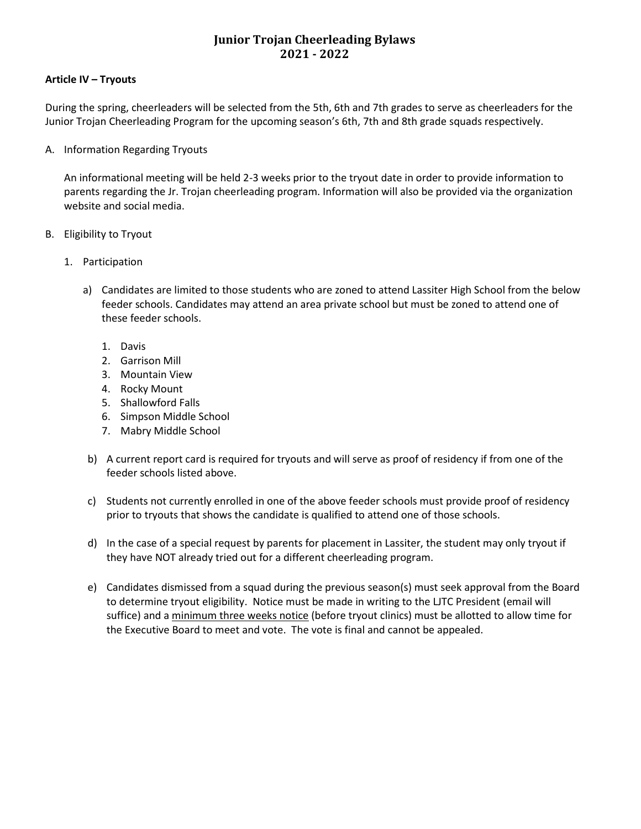#### **Article IV – Tryouts**

During the spring, cheerleaders will be selected from the 5th, 6th and 7th grades to serve as cheerleaders for the Junior Trojan Cheerleading Program for the upcoming season's 6th, 7th and 8th grade squads respectively.

A. Information Regarding Tryouts

An informational meeting will be held 2-3 weeks prior to the tryout date in order to provide information to parents regarding the Jr. Trojan cheerleading program. Information will also be provided via the organization website and social media.

- B. Eligibility to Tryout
	- 1. Participation
		- a) Candidates are limited to those students who are zoned to attend Lassiter High School from the below feeder schools. Candidates may attend an area private school but must be zoned to attend one of these feeder schools.
			- 1. Davis
			- 2. Garrison Mill
			- 3. Mountain View
			- 4. Rocky Mount
			- 5. Shallowford Falls
			- 6. Simpson Middle School
			- 7. Mabry Middle School
		- b) A current report card is required for tryouts and will serve as proof of residency if from one of the feeder schools listed above.
		- c) Students not currently enrolled in one of the above feeder schools must provide proof of residency prior to tryouts that shows the candidate is qualified to attend one of those schools.
		- d) In the case of a special request by parents for placement in Lassiter, the student may only tryout if they have NOT already tried out for a different cheerleading program.
		- e) Candidates dismissed from a squad during the previous season(s) must seek approval from the Board to determine tryout eligibility. Notice must be made in writing to the LJTC President (email will suffice) and a minimum three weeks notice (before tryout clinics) must be allotted to allow time for the Executive Board to meet and vote. The vote is final and cannot be appealed.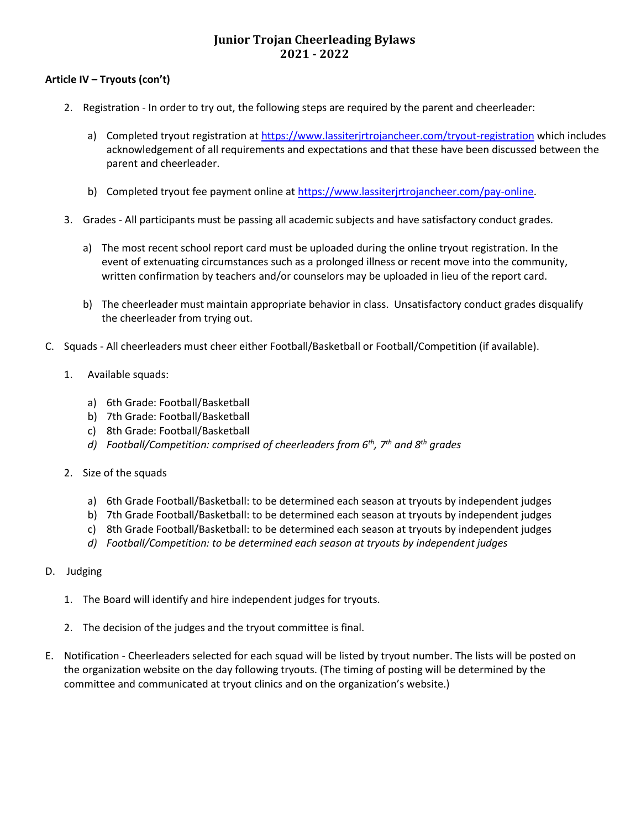### **Article IV – Tryouts (con't)**

- 2. Registration In order to try out, the following steps are required by the parent and cheerleader:
	- a) Completed tryout registration a[t https://www.lassiterjrtrojancheer.com/tryout-registration](https://www.lassiterjrtrojancheer.com/tryout-registration) which includes acknowledgement of all requirements and expectations and that these have been discussed between the parent and cheerleader.
	- b) Completed tryout fee payment online a[t https://www.lassiterjrtrojancheer.com/pay-online.](https://www.lassiterjrtrojancheer.com/pay-online)
- 3. Grades All participants must be passing all academic subjects and have satisfactory conduct grades.
	- a) The most recent school report card must be uploaded during the online tryout registration. In the event of extenuating circumstances such as a prolonged illness or recent move into the community, written confirmation by teachers and/or counselors may be uploaded in lieu of the report card.
	- b) The cheerleader must maintain appropriate behavior in class. Unsatisfactory conduct grades disqualify the cheerleader from trying out.
- C. Squads All cheerleaders must cheer either Football/Basketball or Football/Competition (if available).
	- 1. Available squads:
		- a) 6th Grade: Football/Basketball
		- b) 7th Grade: Football/Basketball
		- c) 8th Grade: Football/Basketball
		- *d) Football/Competition: comprised of cheerleaders from 6th, 7th and 8th grades*
	- 2. Size of the squads
		- a) 6th Grade Football/Basketball: to be determined each season at tryouts by independent judges
		- b) 7th Grade Football/Basketball: to be determined each season at tryouts by independent judges
		- c) 8th Grade Football/Basketball: to be determined each season at tryouts by independent judges
		- *d) Football/Competition: to be determined each season at tryouts by independent judges*
- D. Judging
	- 1. The Board will identify and hire independent judges for tryouts.
	- 2. The decision of the judges and the tryout committee is final.
- E. Notification Cheerleaders selected for each squad will be listed by tryout number. The lists will be posted on the organization website on the day following tryouts. (The timing of posting will be determined by the committee and communicated at tryout clinics and on the organization's website.)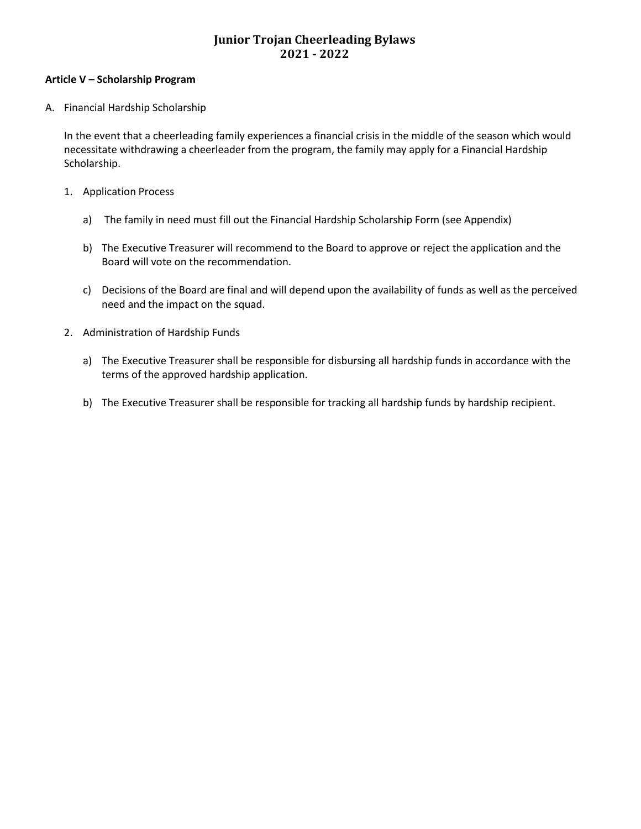#### **Article V – Scholarship Program**

A. Financial Hardship Scholarship

In the event that a cheerleading family experiences a financial crisis in the middle of the season which would necessitate withdrawing a cheerleader from the program, the family may apply for a Financial Hardship Scholarship.

- 1. Application Process
	- a) The family in need must fill out the Financial Hardship Scholarship Form (see Appendix)
	- b) The Executive Treasurer will recommend to the Board to approve or reject the application and the Board will vote on the recommendation.
	- c) Decisions of the Board are final and will depend upon the availability of funds as well as the perceived need and the impact on the squad.
- 2. Administration of Hardship Funds
	- a) The Executive Treasurer shall be responsible for disbursing all hardship funds in accordance with the terms of the approved hardship application.
	- b) The Executive Treasurer shall be responsible for tracking all hardship funds by hardship recipient.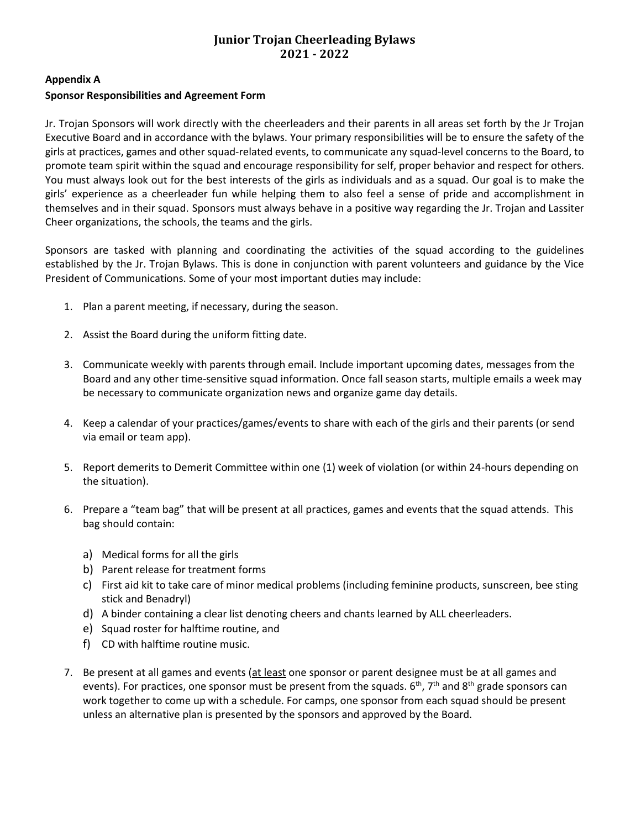#### **Appendix A**

### **Sponsor Responsibilities and Agreement Form**

Jr. Trojan Sponsors will work directly with the cheerleaders and their parents in all areas set forth by the Jr Trojan Executive Board and in accordance with the bylaws. Your primary responsibilities will be to ensure the safety of the girls at practices, games and other squad-related events, to communicate any squad-level concerns to the Board, to promote team spirit within the squad and encourage responsibility for self, proper behavior and respect for others. You must always look out for the best interests of the girls as individuals and as a squad. Our goal is to make the girls' experience as a cheerleader fun while helping them to also feel a sense of pride and accomplishment in themselves and in their squad. Sponsors must always behave in a positive way regarding the Jr. Trojan and Lassiter Cheer organizations, the schools, the teams and the girls.

Sponsors are tasked with planning and coordinating the activities of the squad according to the guidelines established by the Jr. Trojan Bylaws. This is done in conjunction with parent volunteers and guidance by the Vice President of Communications. Some of your most important duties may include:

- 1. Plan a parent meeting, if necessary, during the season.
- 2. Assist the Board during the uniform fitting date.
- 3. Communicate weekly with parents through email. Include important upcoming dates, messages from the Board and any other time-sensitive squad information. Once fall season starts, multiple emails a week may be necessary to communicate organization news and organize game day details.
- 4. Keep a calendar of your practices/games/events to share with each of the girls and their parents (or send via email or team app).
- 5. Report demerits to Demerit Committee within one (1) week of violation (or within 24-hours depending on the situation).
- 6. Prepare a "team bag" that will be present at all practices, games and events that the squad attends. This bag should contain:
	- a) Medical forms for all the girls
	- b) Parent release for treatment forms
	- c) First aid kit to take care of minor medical problems (including feminine products, sunscreen, bee sting stick and Benadryl)
	- d) A binder containing a clear list denoting cheers and chants learned by ALL cheerleaders.
	- e) Squad roster for halftime routine, and
	- f) CD with halftime routine music.
- 7. Be present at all games and events (at least one sponsor or parent designee must be at all games and events). For practices, one sponsor must be present from the squads.  $6<sup>th</sup>$ ,  $7<sup>th</sup>$  and  $8<sup>th</sup>$  grade sponsors can work together to come up with a schedule. For camps, one sponsor from each squad should be present unless an alternative plan is presented by the sponsors and approved by the Board.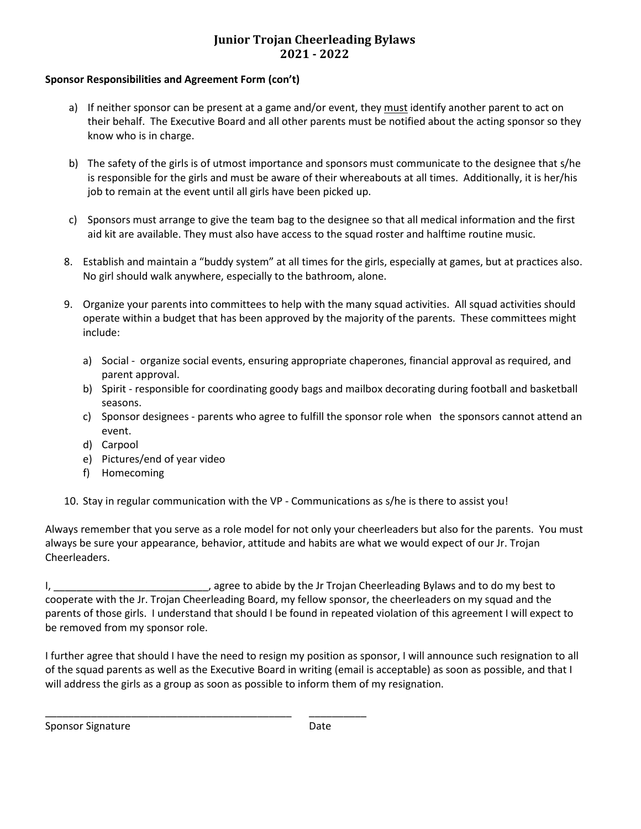#### **Sponsor Responsibilities and Agreement Form (con't)**

- a) If neither sponsor can be present at a game and/or event, they must identify another parent to act on their behalf. The Executive Board and all other parents must be notified about the acting sponsor so they know who is in charge.
- b) The safety of the girls is of utmost importance and sponsors must communicate to the designee that s/he is responsible for the girls and must be aware of their whereabouts at all times. Additionally, it is her/his job to remain at the event until all girls have been picked up.
- c) Sponsors must arrange to give the team bag to the designee so that all medical information and the first aid kit are available. They must also have access to the squad roster and halftime routine music.
- 8. Establish and maintain a "buddy system" at all times for the girls, especially at games, but at practices also. No girl should walk anywhere, especially to the bathroom, alone.
- 9. Organize your parents into committees to help with the many squad activities. All squad activities should operate within a budget that has been approved by the majority of the parents. These committees might include:
	- a) Social organize social events, ensuring appropriate chaperones, financial approval as required, and parent approval.
	- b) Spirit responsible for coordinating goody bags and mailbox decorating during football and basketball seasons.
	- c) Sponsor designees parents who agree to fulfill the sponsor role when the sponsors cannot attend an event.
	- d) Carpool
	- e) Pictures/end of year video

\_\_\_\_\_\_\_\_\_\_\_\_\_\_\_\_\_\_\_\_\_\_\_\_\_\_\_\_\_\_\_\_\_\_\_\_\_\_\_\_\_\_\_ \_\_\_\_\_\_\_\_\_\_

- f) Homecoming
- 10. Stay in regular communication with the VP Communications as s/he is there to assist you!

Always remember that you serve as a role model for not only your cheerleaders but also for the parents. You must always be sure your appearance, behavior, attitude and habits are what we would expect of our Jr. Trojan Cheerleaders.

I, \_\_\_\_\_\_\_\_\_\_\_\_\_\_\_\_\_\_\_\_\_\_\_\_\_\_\_\_\_\_\_, agree to abide by the Jr Trojan Cheerleading Bylaws and to do my best to cooperate with the Jr. Trojan Cheerleading Board, my fellow sponsor, the cheerleaders on my squad and the parents of those girls. I understand that should I be found in repeated violation of this agreement I will expect to be removed from my sponsor role.

I further agree that should I have the need to resign my position as sponsor, I will announce such resignation to all of the squad parents as well as the Executive Board in writing (email is acceptable) as soon as possible, and that I will address the girls as a group as soon as possible to inform them of my resignation.

Sponsor Signature Date Date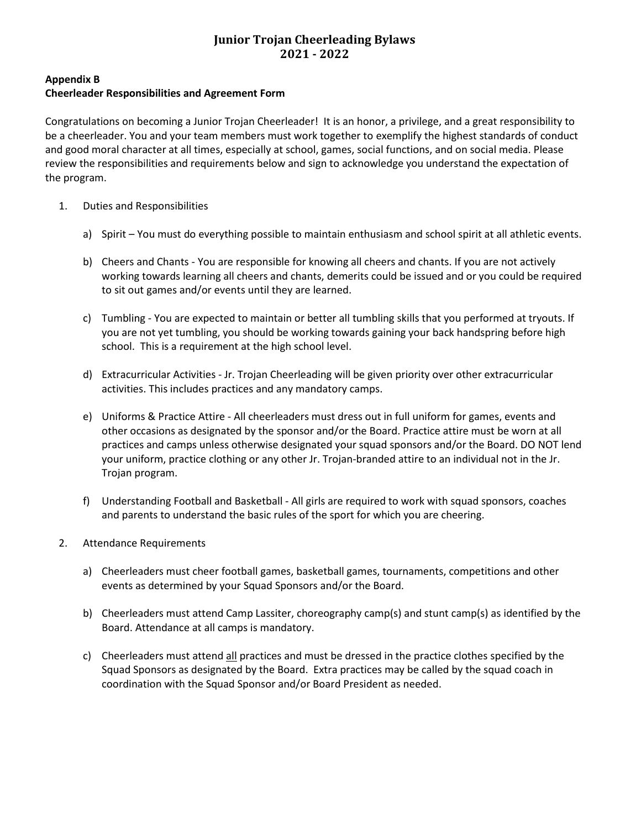**Appendix B**

### **Cheerleader Responsibilities and Agreement Form**

Congratulations on becoming a Junior Trojan Cheerleader! It is an honor, a privilege, and a great responsibility to be a cheerleader. You and your team members must work together to exemplify the highest standards of conduct and good moral character at all times, especially at school, games, social functions, and on social media. Please review the responsibilities and requirements below and sign to acknowledge you understand the expectation of the program.

- 1. Duties and Responsibilities
	- a) Spirit You must do everything possible to maintain enthusiasm and school spirit at all athletic events.
	- b) Cheers and Chants You are responsible for knowing all cheers and chants. If you are not actively working towards learning all cheers and chants, demerits could be issued and or you could be required to sit out games and/or events until they are learned.
	- c) Tumbling You are expected to maintain or better all tumbling skills that you performed at tryouts. If you are not yet tumbling, you should be working towards gaining your back handspring before high school. This is a requirement at the high school level.
	- d) Extracurricular Activities Jr. Trojan Cheerleading will be given priority over other extracurricular activities. This includes practices and any mandatory camps.
	- e) Uniforms & Practice Attire All cheerleaders must dress out in full uniform for games, events and other occasions as designated by the sponsor and/or the Board. Practice attire must be worn at all practices and camps unless otherwise designated your squad sponsors and/or the Board. DO NOT lend your uniform, practice clothing or any other Jr. Trojan-branded attire to an individual not in the Jr. Trojan program.
	- f) Understanding Football and Basketball All girls are required to work with squad sponsors, coaches and parents to understand the basic rules of the sport for which you are cheering.
- 2. Attendance Requirements
	- a) Cheerleaders must cheer football games, basketball games, tournaments, competitions and other events as determined by your Squad Sponsors and/or the Board.
	- b) Cheerleaders must attend Camp Lassiter, choreography camp(s) and stunt camp(s) as identified by the Board. Attendance at all camps is mandatory.
	- c) Cheerleaders must attend all practices and must be dressed in the practice clothes specified by the Squad Sponsors as designated by the Board. Extra practices may be called by the squad coach in coordination with the Squad Sponsor and/or Board President as needed.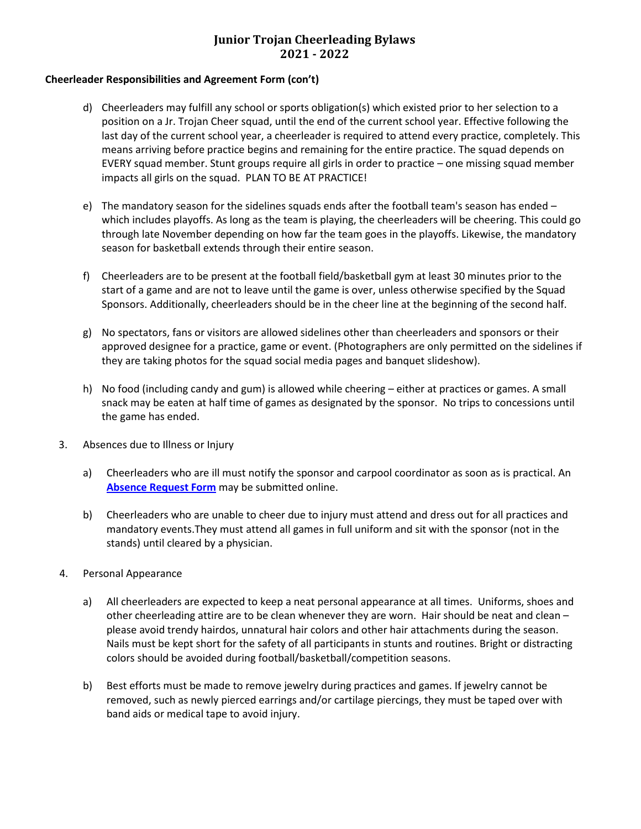#### **Cheerleader Responsibilities and Agreement Form (con't)**

- d) Cheerleaders may fulfill any school or sports obligation(s) which existed prior to her selection to a position on a Jr. Trojan Cheer squad, until the end of the current school year. Effective following the last day of the current school year, a cheerleader is required to attend every practice, completely. This means arriving before practice begins and remaining for the entire practice. The squad depends on EVERY squad member. Stunt groups require all girls in order to practice – one missing squad member impacts all girls on the squad. PLAN TO BE AT PRACTICE!
- e) The mandatory season for the sidelines squads ends after the football team's season has ended which includes playoffs. As long as the team is playing, the cheerleaders will be cheering. This could go through late November depending on how far the team goes in the playoffs. Likewise, the mandatory season for basketball extends through their entire season.
- f) Cheerleaders are to be present at the football field/basketball gym at least 30 minutes prior to the start of a game and are not to leave until the game is over, unless otherwise specified by the Squad Sponsors. Additionally, cheerleaders should be in the cheer line at the beginning of the second half.
- g) No spectators, fans or visitors are allowed sidelines other than cheerleaders and sponsors or their approved designee for a practice, game or event. (Photographers are only permitted on the sidelines if they are taking photos for the squad social media pages and banquet slideshow).
- h) No food (including candy and gum) is allowed while cheering either at practices or games. A small snack may be eaten at half time of games as designated by the sponsor. No trips to concessions until the game has ended.
- 3. Absences due to Illness or Injury
	- a) Cheerleaders who are ill must notify the sponsor and carpool coordinator as soon as is practical. An **[Absence Request Form](https://www.lassiterjrtrojancheer.com/forms)** may be submitted online.
	- b) Cheerleaders who are unable to cheer due to injury must attend and dress out for all practices and mandatory events.They must attend all games in full uniform and sit with the sponsor (not in the stands) until cleared by a physician.
- 4. Personal Appearance
	- a) All cheerleaders are expected to keep a neat personal appearance at all times. Uniforms, shoes and other cheerleading attire are to be clean whenever they are worn. Hair should be neat and clean – please avoid trendy hairdos, unnatural hair colors and other hair attachments during the season. Nails must be kept short for the safety of all participants in stunts and routines. Bright or distracting colors should be avoided during football/basketball/competition seasons.
	- b) Best efforts must be made to remove jewelry during practices and games. If jewelry cannot be removed, such as newly pierced earrings and/or cartilage piercings, they must be taped over with band aids or medical tape to avoid injury.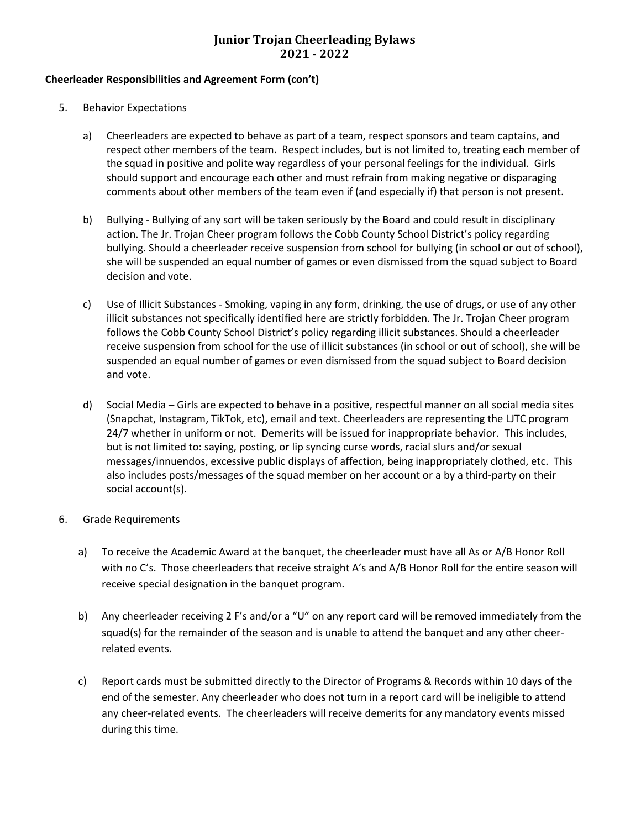#### **Cheerleader Responsibilities and Agreement Form (con't)**

- 5. Behavior Expectations
	- a) Cheerleaders are expected to behave as part of a team, respect sponsors and team captains, and respect other members of the team. Respect includes, but is not limited to, treating each member of the squad in positive and polite way regardless of your personal feelings for the individual. Girls should support and encourage each other and must refrain from making negative or disparaging comments about other members of the team even if (and especially if) that person is not present.
	- b) Bullying Bullying of any sort will be taken seriously by the Board and could result in disciplinary action. The Jr. Trojan Cheer program follows the Cobb County School District's policy regarding bullying. Should a cheerleader receive suspension from school for bullying (in school or out of school), she will be suspended an equal number of games or even dismissed from the squad subject to Board decision and vote.
	- c) Use of Illicit Substances Smoking, vaping in any form, drinking, the use of drugs, or use of any other illicit substances not specifically identified here are strictly forbidden. The Jr. Trojan Cheer program follows the Cobb County School District's policy regarding illicit substances. Should a cheerleader receive suspension from school for the use of illicit substances (in school or out of school), she will be suspended an equal number of games or even dismissed from the squad subject to Board decision and vote.
	- d) Social Media Girls are expected to behave in a positive, respectful manner on all social media sites (Snapchat, Instagram, TikTok, etc), email and text. Cheerleaders are representing the LJTC program 24/7 whether in uniform or not. Demerits will be issued for inappropriate behavior. This includes, but is not limited to: saying, posting, or lip syncing curse words, racial slurs and/or sexual messages/innuendos, excessive public displays of affection, being inappropriately clothed, etc. This also includes posts/messages of the squad member on her account or a by a third-party on their social account(s).
- 6. Grade Requirements
	- a) To receive the Academic Award at the banquet, the cheerleader must have all As or A/B Honor Roll with no C's. Those cheerleaders that receive straight A's and A/B Honor Roll for the entire season will receive special designation in the banquet program.
	- b) Any cheerleader receiving 2 F's and/or a "U" on any report card will be removed immediately from the squad(s) for the remainder of the season and is unable to attend the banquet and any other cheerrelated events.
	- c) Report cards must be submitted directly to the Director of Programs & Records within 10 days of the end of the semester. Any cheerleader who does not turn in a report card will be ineligible to attend any cheer-related events. The cheerleaders will receive demerits for any mandatory events missed during this time.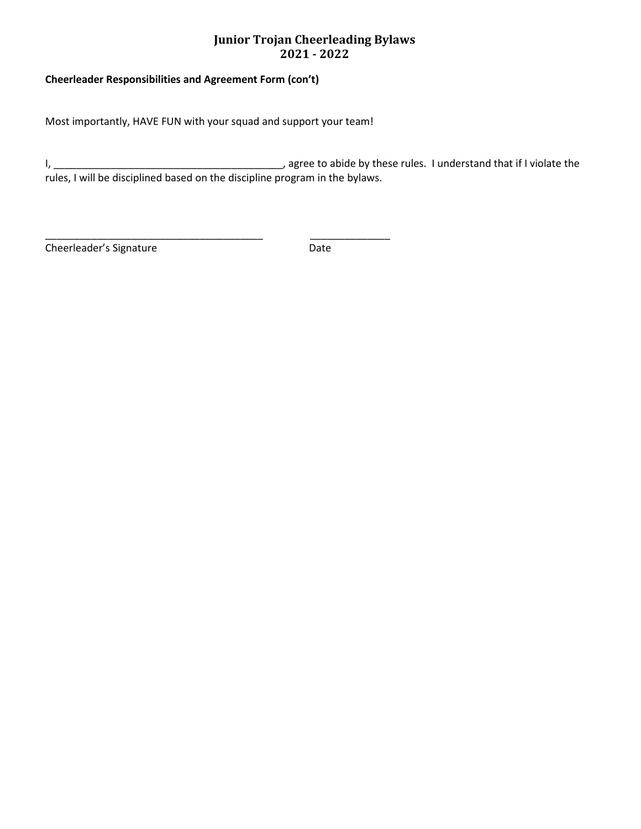### **Cheerleader Responsibilities and Agreement Form (con't)**

Most importantly, HAVE FUN with your squad and support your team!

\_\_\_\_\_\_\_\_\_\_\_\_\_\_\_\_\_\_\_\_\_\_\_\_\_\_\_\_\_\_\_\_\_\_\_\_\_\_ \_\_\_\_\_\_\_\_\_\_\_\_\_\_

I, \_\_\_\_\_\_\_\_\_\_\_\_\_\_\_\_\_\_\_\_\_\_\_\_\_\_\_\_\_\_\_\_\_\_\_\_\_\_\_\_, agree to abide by these rules. I understand that if I violate the rules, I will be disciplined based on the discipline program in the bylaws.

Cheerleader's Signature **Date** Date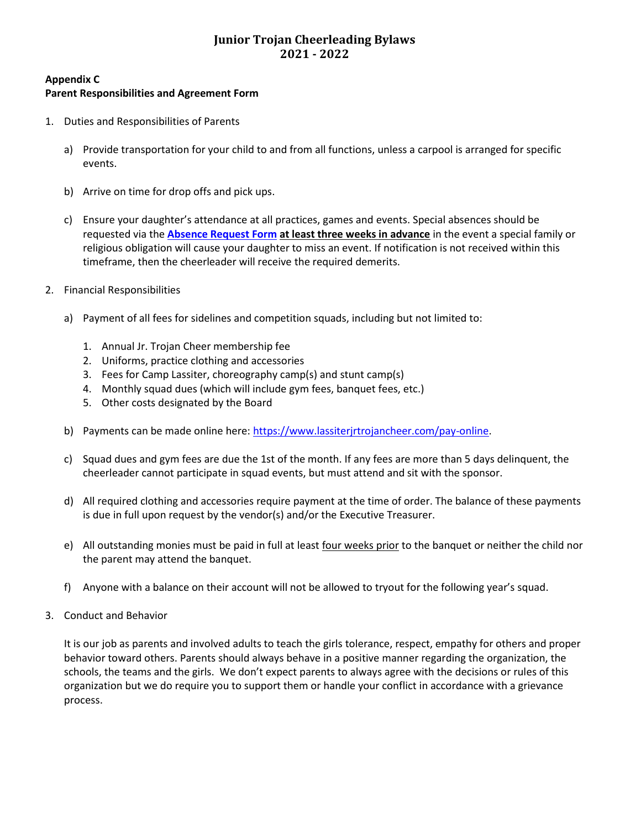### **Appendix C Parent Responsibilities and Agreement Form**

- 1. Duties and Responsibilities of Parents
	- a) Provide transportation for your child to and from all functions, unless a carpool is arranged for specific events.
	- b) Arrive on time for drop offs and pick ups.
	- c) Ensure your daughter's attendance at all practices, games and events. Special absences should be requested via the **[Absence Request Form](https://www.lassiterjrtrojancheer.com/forms) at least three weeks in advance** in the event a special family or religious obligation will cause your daughter to miss an event. If notification is not received within this timeframe, then the cheerleader will receive the required demerits.
- 2. Financial Responsibilities
	- a) Payment of all fees for sidelines and competition squads, including but not limited to:
		- 1. Annual Jr. Trojan Cheer membership fee
		- 2. Uniforms, practice clothing and accessories
		- 3. Fees for Camp Lassiter, choreography camp(s) and stunt camp(s)
		- 4. Monthly squad dues (which will include gym fees, banquet fees, etc.)
		- 5. Other costs designated by the Board
	- b) Payments can be made online here[: https://www.lassiterjrtrojancheer.com/pay-online.](https://www.lassiterjrtrojancheer.com/pay-online)
	- c) Squad dues and gym fees are due the 1st of the month. If any fees are more than 5 days delinquent, the cheerleader cannot participate in squad events, but must attend and sit with the sponsor.
	- d) All required clothing and accessories require payment at the time of order. The balance of these payments is due in full upon request by the vendor(s) and/or the Executive Treasurer.
	- e) All outstanding monies must be paid in full at least four weeks prior to the banquet or neither the child nor the parent may attend the banquet.
	- f) Anyone with a balance on their account will not be allowed to tryout for the following year's squad.
- 3. Conduct and Behavior

It is our job as parents and involved adults to teach the girls tolerance, respect, empathy for others and proper behavior toward others. Parents should always behave in a positive manner regarding the organization, the schools, the teams and the girls. We don't expect parents to always agree with the decisions or rules of this organization but we do require you to support them or handle your conflict in accordance with a grievance process.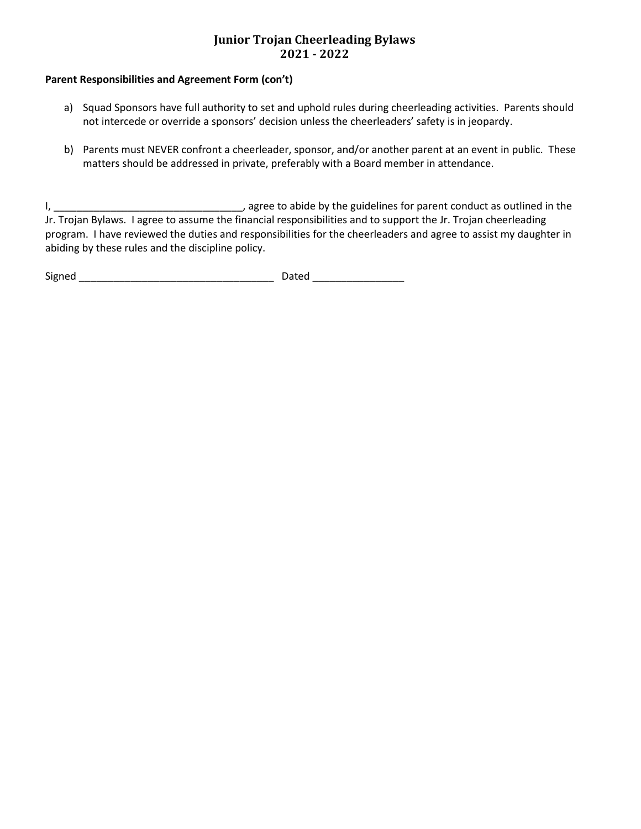### **Parent Responsibilities and Agreement Form (con't)**

- a) Squad Sponsors have full authority to set and uphold rules during cheerleading activities. Parents should not intercede or override a sponsors' decision unless the cheerleaders' safety is in jeopardy.
- b) Parents must NEVER confront a cheerleader, sponsor, and/or another parent at an event in public. These matters should be addressed in private, preferably with a Board member in attendance.

I, \_\_\_\_\_\_\_\_\_\_\_\_\_\_\_\_\_\_\_\_\_\_\_\_\_\_\_\_\_\_\_\_\_, agree to abide by the guidelines for parent conduct as outlined in the Jr. Trojan Bylaws. I agree to assume the financial responsibilities and to support the Jr. Trojan cheerleading program. I have reviewed the duties and responsibilities for the cheerleaders and agree to assist my daughter in abiding by these rules and the discipline policy.

Signed \_\_\_\_\_\_\_\_\_\_\_\_\_\_\_\_\_\_\_\_\_\_\_\_\_\_\_\_\_\_\_\_\_\_ Dated \_\_\_\_\_\_\_\_\_\_\_\_\_\_\_\_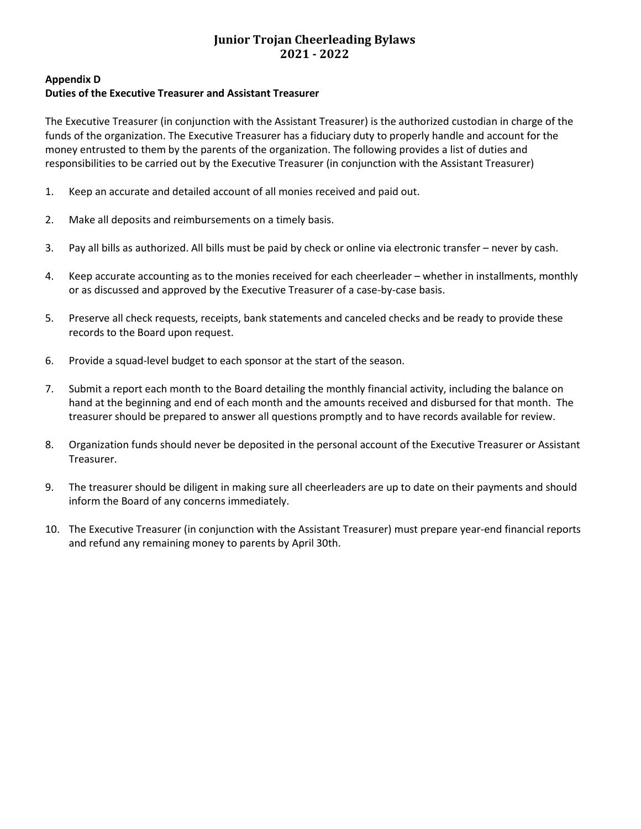# **Appendix D**

### **Duties of the Executive Treasurer and Assistant Treasurer**

The Executive Treasurer (in conjunction with the Assistant Treasurer) is the authorized custodian in charge of the funds of the organization. The Executive Treasurer has a fiduciary duty to properly handle and account for the money entrusted to them by the parents of the organization. The following provides a list of duties and responsibilities to be carried out by the Executive Treasurer (in conjunction with the Assistant Treasurer)

- 1. Keep an accurate and detailed account of all monies received and paid out.
- 2. Make all deposits and reimbursements on a timely basis.
- 3. Pay all bills as authorized. All bills must be paid by check or online via electronic transfer never by cash.
- 4. Keep accurate accounting as to the monies received for each cheerleader whether in installments, monthly or as discussed and approved by the Executive Treasurer of a case-by-case basis.
- 5. Preserve all check requests, receipts, bank statements and canceled checks and be ready to provide these records to the Board upon request.
- 6. Provide a squad-level budget to each sponsor at the start of the season.
- 7. Submit a report each month to the Board detailing the monthly financial activity, including the balance on hand at the beginning and end of each month and the amounts received and disbursed for that month. The treasurer should be prepared to answer all questions promptly and to have records available for review.
- 8. Organization funds should never be deposited in the personal account of the Executive Treasurer or Assistant Treasurer.
- 9. The treasurer should be diligent in making sure all cheerleaders are up to date on their payments and should inform the Board of any concerns immediately.
- 10. The Executive Treasurer (in conjunction with the Assistant Treasurer) must prepare year-end financial reports and refund any remaining money to parents by April 30th.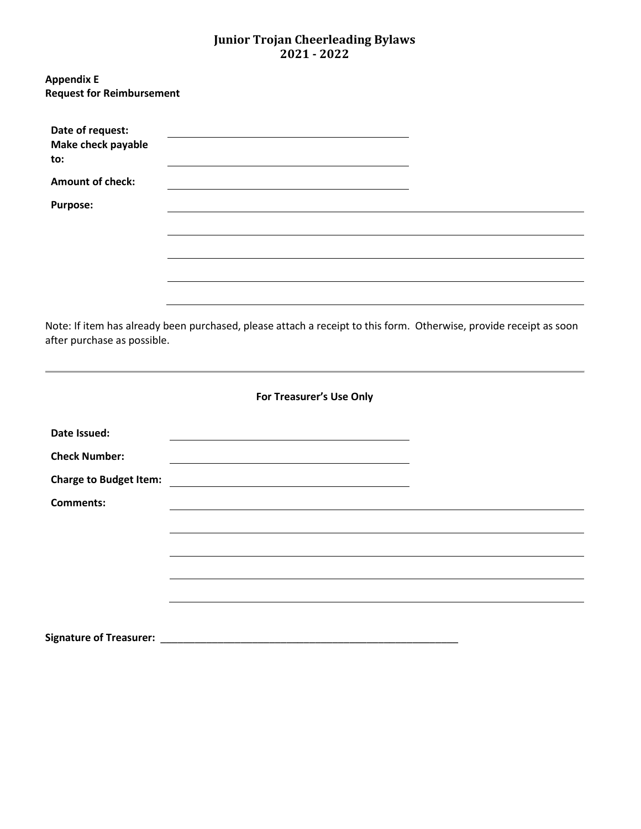| <b>Appendix E</b><br><b>Request for Reimbursement</b> |                                                                                                                    |  |
|-------------------------------------------------------|--------------------------------------------------------------------------------------------------------------------|--|
| Date of request:<br>Make check payable<br>to:         |                                                                                                                    |  |
| <b>Amount of check:</b>                               |                                                                                                                    |  |
| <b>Purpose:</b>                                       |                                                                                                                    |  |
|                                                       |                                                                                                                    |  |
|                                                       |                                                                                                                    |  |
|                                                       |                                                                                                                    |  |
|                                                       |                                                                                                                    |  |
| after purchase as possible.                           | Note: If item has already been purchased, please attach a receipt to this form. Otherwise, provide receipt as soon |  |
|                                                       | For Treasurer's Use Only                                                                                           |  |
| Date Issued:                                          |                                                                                                                    |  |
| <b>Check Number:</b>                                  |                                                                                                                    |  |
| <b>Charge to Budget Item:</b>                         |                                                                                                                    |  |
| <b>Comments:</b>                                      |                                                                                                                    |  |

<u> 1989 - Johann Stoff, amerikansk politiker (\* 1908)</u>

**Signature of Treasurer:** \_\_\_\_\_\_\_\_\_\_\_\_\_\_\_\_\_\_\_\_\_\_\_\_\_\_\_\_\_\_\_\_\_\_\_\_\_\_\_\_\_\_\_\_\_\_\_\_\_\_\_\_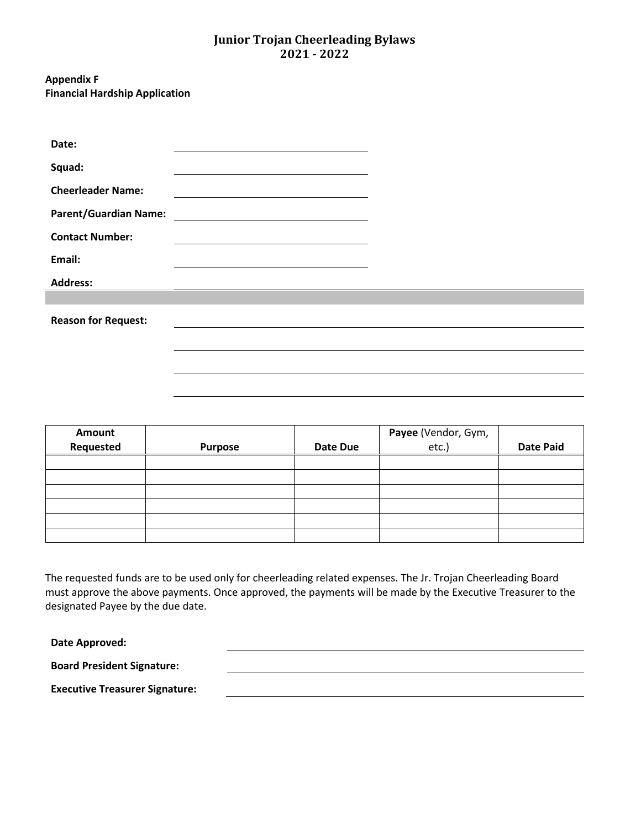#### **Appendix F Financial Hardship Application**

| Date:                        |                                                                                                                      |  |
|------------------------------|----------------------------------------------------------------------------------------------------------------------|--|
| Squad:                       |                                                                                                                      |  |
| <b>Cheerleader Name:</b>     |                                                                                                                      |  |
| <b>Parent/Guardian Name:</b> | <u> 1980 - Jan Stein Stein Stein Stein Stein Stein Stein Stein Stein Stein Stein Stein Stein Stein Stein Stein S</u> |  |
| <b>Contact Number:</b>       |                                                                                                                      |  |
| Email:                       |                                                                                                                      |  |
| <b>Address:</b>              |                                                                                                                      |  |
|                              |                                                                                                                      |  |
| <b>Reason for Request:</b>   |                                                                                                                      |  |
|                              |                                                                                                                      |  |
|                              |                                                                                                                      |  |

| Amount    |                |                 | Payee (Vendor, Gym,<br>etc.) |                  |
|-----------|----------------|-----------------|------------------------------|------------------|
| Requested | <b>Purpose</b> | <b>Date Due</b> |                              | <b>Date Paid</b> |
|           |                |                 |                              |                  |
|           |                |                 |                              |                  |
|           |                |                 |                              |                  |
|           |                |                 |                              |                  |
|           |                |                 |                              |                  |
|           |                |                 |                              |                  |

The requested funds are to be used only for cheerleading related expenses. The Jr. Trojan Cheerleading Board must approve the above payments. Once approved, the payments will be made by the Executive Treasurer to the designated Payee by the due date.

**Date Approved:**

I

**Board President Signature:**

**Executive Treasurer Signature:**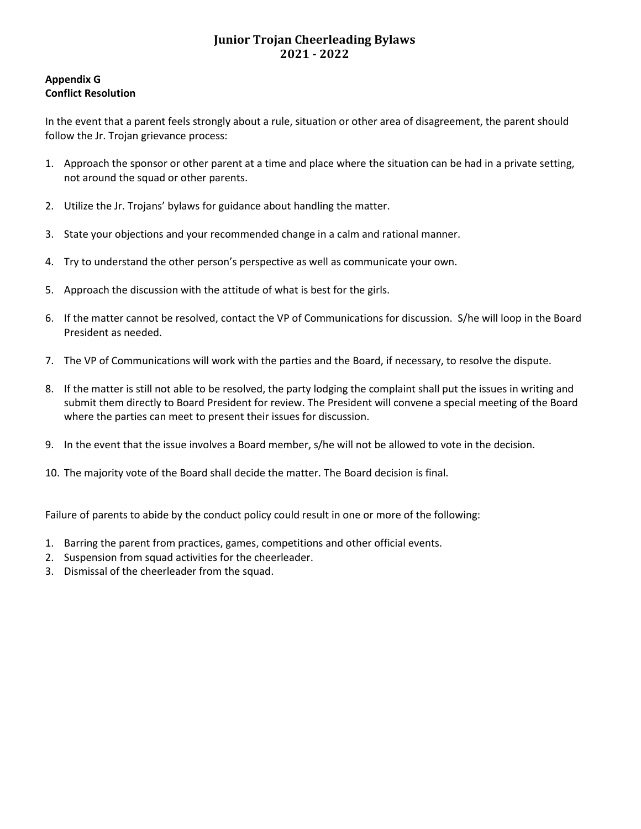### **Appendix G Conflict Resolution**

In the event that a parent feels strongly about a rule, situation or other area of disagreement, the parent should follow the Jr. Trojan grievance process:

- 1. Approach the sponsor or other parent at a time and place where the situation can be had in a private setting, not around the squad or other parents.
- 2. Utilize the Jr. Trojans' bylaws for guidance about handling the matter.
- 3. State your objections and your recommended change in a calm and rational manner.
- 4. Try to understand the other person's perspective as well as communicate your own.
- 5. Approach the discussion with the attitude of what is best for the girls.
- 6. If the matter cannot be resolved, contact the VP of Communications for discussion. S/he will loop in the Board President as needed.
- 7. The VP of Communications will work with the parties and the Board, if necessary, to resolve the dispute.
- 8. If the matter is still not able to be resolved, the party lodging the complaint shall put the issues in writing and submit them directly to Board President for review. The President will convene a special meeting of the Board where the parties can meet to present their issues for discussion.
- 9. In the event that the issue involves a Board member, s/he will not be allowed to vote in the decision.
- 10. The majority vote of the Board shall decide the matter. The Board decision is final.

Failure of parents to abide by the conduct policy could result in one or more of the following:

- 1. Barring the parent from practices, games, competitions and other official events.
- 2. Suspension from squad activities for the cheerleader.
- 3. Dismissal of the cheerleader from the squad.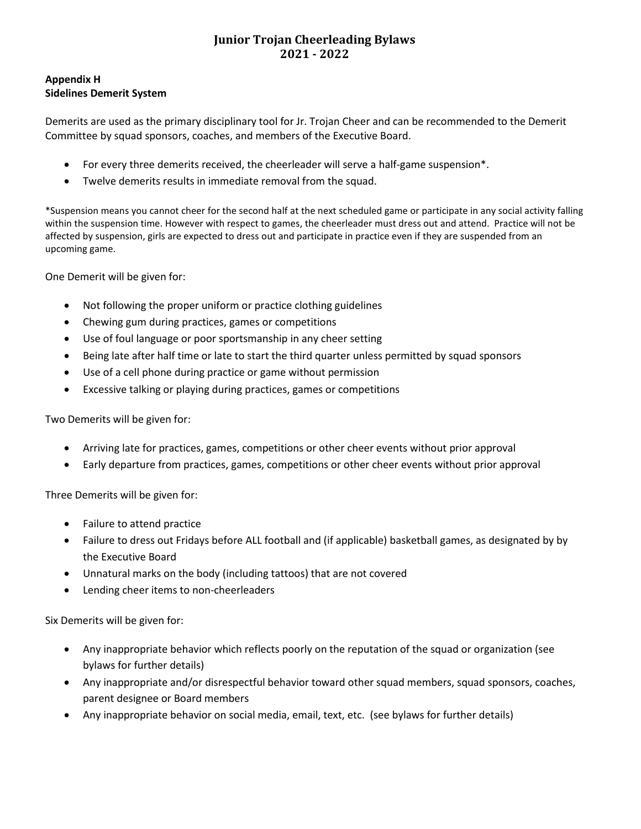### **Appendix H Sidelines Demerit System**

Demerits are used as the primary disciplinary tool for Jr. Trojan Cheer and can be recommended to the Demerit Committee by squad sponsors, coaches, and members of the Executive Board.

- For every three demerits received, the cheerleader will serve a half-game suspension\*.
- Twelve demerits results in immediate removal from the squad.

\*Suspension means you cannot cheer for the second half at the next scheduled game or participate in any social activity falling within the suspension time. However with respect to games, the cheerleader must dress out and attend. Practice will not be affected by suspension, girls are expected to dress out and participate in practice even if they are suspended from an upcoming game.

One Demerit will be given for:

- Not following the proper uniform or practice clothing guidelines
- Chewing gum during practices, games or competitions
- Use of foul language or poor sportsmanship in any cheer setting
- Being late after half time or late to start the third quarter unless permitted by squad sponsors
- Use of a cell phone during practice or game without permission
- Excessive talking or playing during practices, games or competitions

Two Demerits will be given for:

- Arriving late for practices, games, competitions or other cheer events without prior approval
- Early departure from practices, games, competitions or other cheer events without prior approval

Three Demerits will be given for:

- Failure to attend practice
- Failure to dress out Fridays before ALL football and (if applicable) basketball games, as designated by by the Executive Board
- Unnatural marks on the body (including tattoos) that are not covered
- Lending cheer items to non-cheerleaders

Six Demerits will be given for:

- Any inappropriate behavior which reflects poorly on the reputation of the squad or organization (see bylaws for further details)
- Any inappropriate and/or disrespectful behavior toward other squad members, squad sponsors, coaches, parent designee or Board members
- Any inappropriate behavior on social media, email, text, etc. (see bylaws for further details)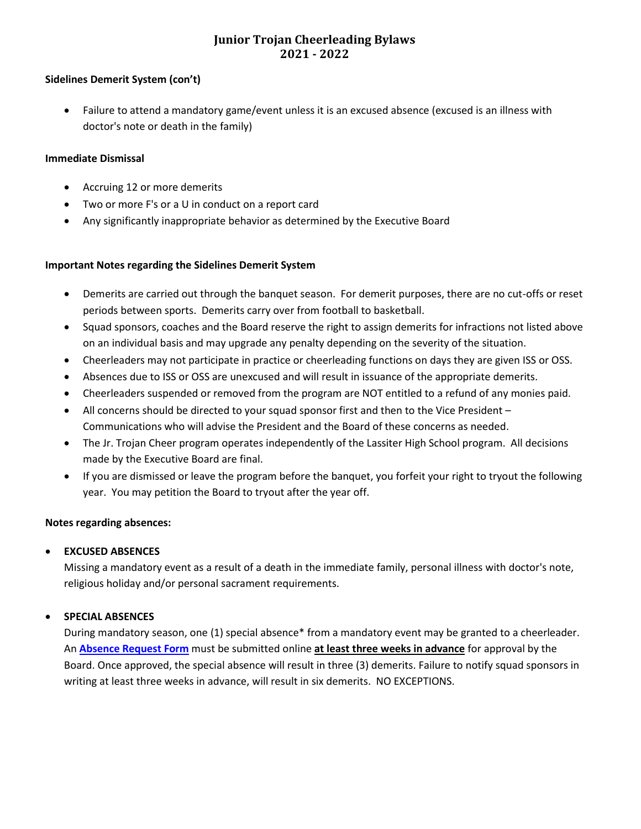#### **Sidelines Demerit System (con't)**

• Failure to attend a mandatory game/event unless it is an excused absence (excused is an illness with doctor's note or death in the family)

#### **Immediate Dismissal**

- Accruing 12 or more demerits
- Two or more F's or a U in conduct on a report card
- Any significantly inappropriate behavior as determined by the Executive Board

#### **Important Notes regarding the Sidelines Demerit System**

- Demerits are carried out through the banquet season. For demerit purposes, there are no cut-offs or reset periods between sports. Demerits carry over from football to basketball.
- Squad sponsors, coaches and the Board reserve the right to assign demerits for infractions not listed above on an individual basis and may upgrade any penalty depending on the severity of the situation.
- Cheerleaders may not participate in practice or cheerleading functions on days they are given ISS or OSS.
- Absences due to ISS or OSS are unexcused and will result in issuance of the appropriate demerits.
- Cheerleaders suspended or removed from the program are NOT entitled to a refund of any monies paid.
- All concerns should be directed to your squad sponsor first and then to the Vice President Communications who will advise the President and the Board of these concerns as needed.
- The Jr. Trojan Cheer program operates independently of the Lassiter High School program. All decisions made by the Executive Board are final.
- If you are dismissed or leave the program before the banquet, you forfeit your right to tryout the following year. You may petition the Board to tryout after the year off.

#### **Notes regarding absences:**

#### • **EXCUSED ABSENCES**

Missing a mandatory event as a result of a death in the immediate family, personal illness with doctor's note, religious holiday and/or personal sacrament requirements.

#### • **SPECIAL ABSENCES**

During mandatory season, one (1) special absence\* from a mandatory event may be granted to a cheerleader. An **[Absence Request Form](https://www.lassiterjrtrojancheer.com/forms)** must be submitted online **at least three weeks in advance** for approval by the Board. Once approved, the special absence will result in three (3) demerits. Failure to notify squad sponsors in writing at least three weeks in advance, will result in six demerits. NO EXCEPTIONS.